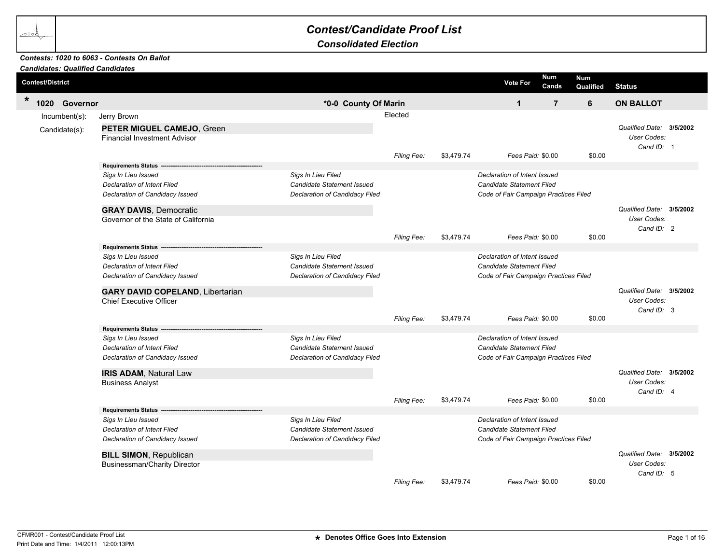## *Contest/Candidate Proof List*

*Consolidated Election*

## *Contests: 1020 to 6063 - Contests On Ballot*

| <b>Candidates: Qualified Candidates</b> |                                                                                              |                                                                                    |             |            |                                                                                                    |                         |                                                              |  |
|-----------------------------------------|----------------------------------------------------------------------------------------------|------------------------------------------------------------------------------------|-------------|------------|----------------------------------------------------------------------------------------------------|-------------------------|--------------------------------------------------------------|--|
| <b>Contest/District</b>                 |                                                                                              |                                                                                    |             |            | Num<br><b>Vote For</b><br>Cands                                                                    | <b>Num</b><br>Qualified | <b>Status</b>                                                |  |
| $\star$<br>1020 Governor                |                                                                                              | *0-0 County Of Marin                                                               |             |            | $\mathbf{1}$                                                                                       | $\overline{7}$<br>6     | <b>ON BALLOT</b>                                             |  |
| Incumbent(s):                           | Jerry Brown                                                                                  |                                                                                    | Elected     |            |                                                                                                    |                         |                                                              |  |
| Candidate(s):                           | PETER MIGUEL CAMEJO, Green<br><b>Financial Investment Advisor</b>                            |                                                                                    |             |            | Fees Paid: \$0.00                                                                                  |                         | Qualified Date: 3/5/2002<br>User Codes:<br>Cand ID: 1        |  |
|                                         | Requirements Status --                                                                       |                                                                                    | Filing Fee: | \$3,479.74 |                                                                                                    | \$0.00                  |                                                              |  |
|                                         | Sigs In Lieu Issued<br><b>Declaration of Intent Filed</b><br>Declaration of Candidacy Issued | Sigs In Lieu Filed<br>Candidate Statement Issued<br>Declaration of Candidacy Filed |             |            | Declaration of Intent Issued<br>Candidate Statement Filed<br>Code of Fair Campaign Practices Filed |                         |                                                              |  |
|                                         | <b>GRAY DAVIS, Democratic</b><br>Governor of the State of California                         |                                                                                    |             |            |                                                                                                    |                         | Qualified Date: 3/5/2002<br>User Codes:<br>Cand ID: 2        |  |
|                                         |                                                                                              |                                                                                    | Filing Fee: | \$3,479.74 | Fees Paid: \$0.00                                                                                  | \$0.00                  |                                                              |  |
|                                         | Sigs In Lieu Issued<br>Declaration of Intent Filed<br>Declaration of Candidacy Issued        | Sigs In Lieu Filed<br>Candidate Statement Issued<br>Declaration of Candidacy Filed |             |            | Declaration of Intent Issued<br>Candidate Statement Filed<br>Code of Fair Campaign Practices Filed |                         |                                                              |  |
|                                         | <b>GARY DAVID COPELAND, Libertarian</b><br><b>Chief Executive Officer</b>                    |                                                                                    | Filing Fee: | \$3,479.74 | Fees Paid: \$0.00                                                                                  | \$0.00                  | Qualified Date: 3/5/2002<br>User Codes:<br>Cand $ID: 3$      |  |
|                                         | Requirements Status -                                                                        |                                                                                    |             |            |                                                                                                    |                         |                                                              |  |
|                                         | Sigs In Lieu Issued<br><b>Declaration of Intent Filed</b><br>Declaration of Candidacy Issued | Sigs In Lieu Filed<br>Candidate Statement Issued<br>Declaration of Candidacy Filed |             |            | Declaration of Intent Issued<br>Candidate Statement Filed<br>Code of Fair Campaign Practices Filed |                         |                                                              |  |
|                                         | <b>IRIS ADAM, Natural Law</b><br><b>Business Analyst</b>                                     |                                                                                    |             | \$3,479.74 | Fees Paid: \$0.00                                                                                  | \$0.00                  | Qualified Date: 3/5/2002<br>User Codes:<br>Cand ID: 4        |  |
|                                         | Requirements Status -------------                                                            |                                                                                    | Filing Fee: |            |                                                                                                    |                         |                                                              |  |
|                                         | Sigs In Lieu Issued<br>Declaration of Intent Filed<br>Declaration of Candidacy Issued        | Sigs In Lieu Filed<br>Candidate Statement Issued<br>Declaration of Candidacy Filed |             |            | Declaration of Intent Issued<br>Candidate Statement Filed<br>Code of Fair Campaign Practices Filed |                         |                                                              |  |
|                                         | <b>BILL SIMON, Republican</b><br><b>Businessman/Charity Director</b>                         |                                                                                    |             |            |                                                                                                    |                         | Qualified Date: 3/5/2002<br><b>User Codes:</b><br>Cand ID: 5 |  |
|                                         |                                                                                              |                                                                                    | Filing Fee: | \$3,479.74 | Fees Paid: \$0.00                                                                                  | \$0.00                  |                                                              |  |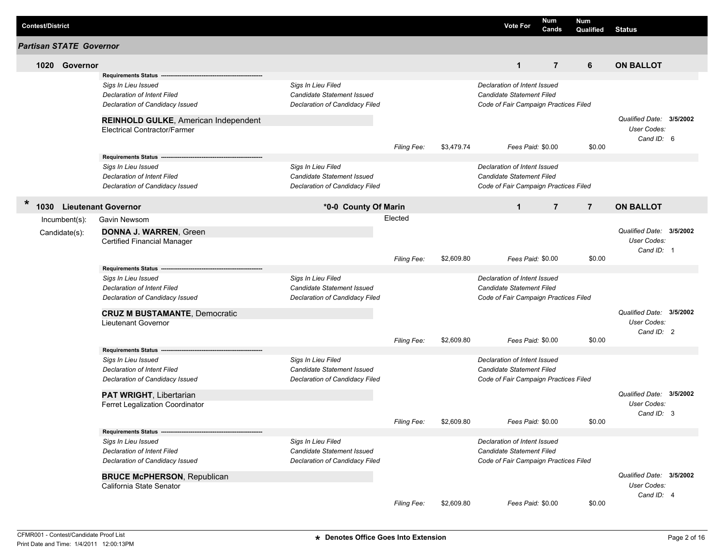| <b>Contest/District</b>        |               |                                                                |                                                         |                    |            | <b>Vote For</b>                       | Num<br>Cands   | <b>Num</b><br>Qualified | <b>Status</b>            |  |
|--------------------------------|---------------|----------------------------------------------------------------|---------------------------------------------------------|--------------------|------------|---------------------------------------|----------------|-------------------------|--------------------------|--|
| <b>Partisan STATE Governor</b> |               |                                                                |                                                         |                    |            |                                       |                |                         |                          |  |
|                                | 1020 Governor |                                                                |                                                         |                    |            | $\mathbf{1}$                          | $\overline{7}$ | 6                       | <b>ON BALLOT</b>         |  |
|                                |               | <b>Requirements Status</b>                                     |                                                         |                    |            |                                       |                |                         |                          |  |
|                                |               | Sigs In Lieu Issued                                            | Sigs In Lieu Filed                                      |                    |            | Declaration of Intent Issued          |                |                         |                          |  |
|                                |               | Declaration of Intent Filed                                    | Candidate Statement Issued                              |                    |            | Candidate Statement Filed             |                |                         |                          |  |
|                                |               | Declaration of Candidacy Issued                                | Declaration of Candidacy Filed                          |                    |            | Code of Fair Campaign Practices Filed |                |                         |                          |  |
|                                |               | <b>REINHOLD GULKE, American Independent</b>                    |                                                         |                    |            |                                       |                |                         | Qualified Date: 3/5/2002 |  |
|                                |               | <b>Electrical Contractor/Farmer</b>                            |                                                         |                    |            |                                       |                |                         | <b>User Codes:</b>       |  |
|                                |               |                                                                |                                                         |                    |            |                                       |                |                         | Cand ID: 6               |  |
|                                |               |                                                                |                                                         | Filing Fee:        | \$3,479.74 | Fees Paid: \$0.00                     |                | \$0.00                  |                          |  |
|                                |               | Requirements Status ------                                     |                                                         |                    |            |                                       |                |                         |                          |  |
|                                |               | Sigs In Lieu Issued                                            | Sigs In Lieu Filed                                      |                    |            | Declaration of Intent Issued          |                |                         |                          |  |
|                                |               | Declaration of Intent Filed                                    | <b>Candidate Statement Issued</b>                       |                    |            | Candidate Statement Filed             |                |                         |                          |  |
|                                |               | Declaration of Candidacy Issued                                | Declaration of Candidacy Filed                          |                    |            | Code of Fair Campaign Practices Filed |                |                         |                          |  |
| $\ast$<br>1030                 |               | <b>Lieutenant Governor</b>                                     | *0-0 County Of Marin                                    |                    |            | $\mathbf{1}$                          | $\overline{7}$ | $\overline{7}$          | <b>ON BALLOT</b>         |  |
|                                | Incumbent(s): | Gavin Newsom                                                   |                                                         | Elected            |            |                                       |                |                         |                          |  |
|                                |               | DONNA J. WARREN, Green                                         |                                                         |                    |            |                                       |                |                         | Qualified Date: 3/5/2002 |  |
|                                | Candidate(s): | Certified Financial Manager                                    |                                                         |                    |            |                                       |                |                         | <b>User Codes:</b>       |  |
|                                |               |                                                                |                                                         |                    |            |                                       |                |                         | Cand ID: 1               |  |
|                                |               |                                                                |                                                         | <b>Filing Fee:</b> | \$2,609.80 | Fees Paid: \$0.00                     |                | \$0.00                  |                          |  |
|                                |               | <b>Requirements Status</b>                                     |                                                         |                    |            |                                       |                |                         |                          |  |
|                                |               | Sigs In Lieu Issued                                            | Sigs In Lieu Filed                                      |                    |            | Declaration of Intent Issued          |                |                         |                          |  |
|                                |               | Declaration of Intent Filed                                    | <b>Candidate Statement Issued</b>                       |                    |            | Candidate Statement Filed             |                |                         |                          |  |
|                                |               | Declaration of Candidacy Issued                                | Declaration of Candidacy Filed                          |                    |            | Code of Fair Campaign Practices Filed |                |                         |                          |  |
|                                |               |                                                                |                                                         |                    |            |                                       |                |                         |                          |  |
|                                |               | <b>CRUZ M BUSTAMANTE, Democratic</b>                           |                                                         |                    |            |                                       |                |                         | Qualified Date: 3/5/2002 |  |
|                                |               | <b>Lieutenant Governor</b>                                     |                                                         |                    |            |                                       |                |                         | <b>User Codes:</b>       |  |
|                                |               |                                                                |                                                         | Filing Fee:        | \$2,609.80 | Fees Paid: \$0.00                     |                | \$0.00                  | Cand ID: 2               |  |
|                                |               |                                                                |                                                         |                    |            |                                       |                |                         |                          |  |
|                                |               | <b>Requirements Status</b>                                     |                                                         |                    |            | Declaration of Intent Issued          |                |                         |                          |  |
|                                |               | Sigs In Lieu Issued                                            | Sigs In Lieu Filed<br><b>Candidate Statement Issued</b> |                    |            | <b>Candidate Statement Filed</b>      |                |                         |                          |  |
|                                |               | Declaration of Intent Filed<br>Declaration of Candidacy Issued | Declaration of Candidacy Filed                          |                    |            | Code of Fair Campaign Practices Filed |                |                         |                          |  |
|                                |               |                                                                |                                                         |                    |            |                                       |                |                         |                          |  |
|                                |               | PAT WRIGHT, Libertarian                                        |                                                         |                    |            |                                       |                |                         | Qualified Date: 3/5/2002 |  |
|                                |               | Ferret Legalization Coordinator                                |                                                         |                    |            |                                       |                |                         | <b>User Codes:</b>       |  |
|                                |               |                                                                |                                                         |                    |            |                                       |                |                         | Cand ID: 3               |  |
|                                |               |                                                                |                                                         | Filing Fee:        | \$2,609.80 | Fees Paid: \$0.00                     |                | \$0.00                  |                          |  |
|                                |               | Requirements Status -------                                    |                                                         |                    |            |                                       |                |                         |                          |  |
|                                |               | Sigs In Lieu Issued                                            | Sigs In Lieu Filed                                      |                    |            | Declaration of Intent Issued          |                |                         |                          |  |
|                                |               | Declaration of Intent Filed                                    | Candidate Statement Issued                              |                    |            | Candidate Statement Filed             |                |                         |                          |  |
|                                |               | Declaration of Candidacy Issued                                | Declaration of Candidacy Filed                          |                    |            | Code of Fair Campaign Practices Filed |                |                         |                          |  |
|                                |               | <b>BRUCE McPHERSON, Republican</b>                             |                                                         |                    |            |                                       |                |                         | Qualified Date: 3/5/2002 |  |
|                                |               | California State Senator                                       |                                                         |                    |            |                                       |                |                         | User Codes:              |  |
|                                |               |                                                                |                                                         |                    |            |                                       |                |                         | Cand ID: 4               |  |
|                                |               |                                                                |                                                         | Filing Fee:        | \$2,609.80 | Fees Paid: \$0.00                     |                | \$0.00                  |                          |  |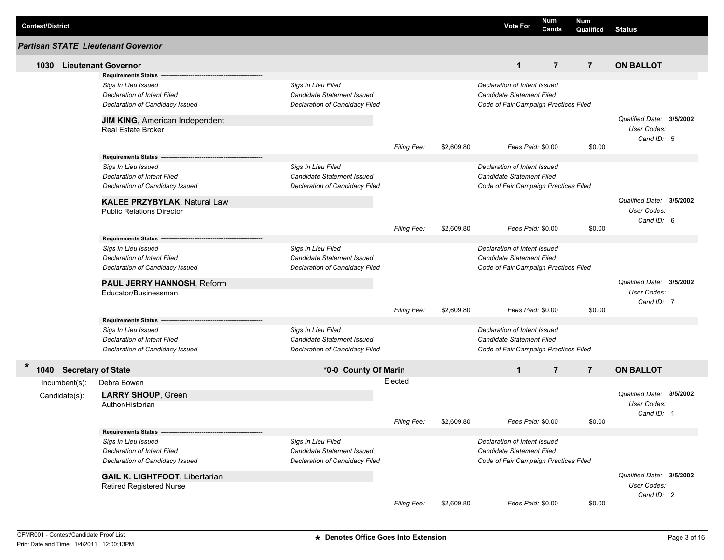| <b>Contest/District</b> |                         |                                                                                              |                                                                                    |                    |            | <b>Vote For</b>                                           | Num<br>Cands                          | Num<br>Qualified | <b>Status</b>                                         |  |
|-------------------------|-------------------------|----------------------------------------------------------------------------------------------|------------------------------------------------------------------------------------|--------------------|------------|-----------------------------------------------------------|---------------------------------------|------------------|-------------------------------------------------------|--|
|                         |                         | <b>Partisan STATE Lieutenant Governor</b>                                                    |                                                                                    |                    |            |                                                           |                                       |                  |                                                       |  |
| 1030                    |                         | <b>Lieutenant Governor</b>                                                                   |                                                                                    |                    |            | $\mathbf{1}$                                              | $\overline{7}$                        | $\overline{7}$   | <b>ON BALLOT</b>                                      |  |
|                         |                         | <b>Requirements Status</b>                                                                   |                                                                                    |                    |            |                                                           |                                       |                  |                                                       |  |
|                         |                         | Sigs In Lieu Issued<br><b>Declaration of Intent Filed</b><br>Declaration of Candidacy Issued | Sigs In Lieu Filed<br>Candidate Statement Issued<br>Declaration of Candidacy Filed |                    |            | Declaration of Intent Issued<br>Candidate Statement Filed | Code of Fair Campaign Practices Filed |                  |                                                       |  |
|                         |                         | <b>JIM KING, American Independent</b>                                                        |                                                                                    |                    |            |                                                           |                                       |                  | Qualified Date: 3/5/2002                              |  |
|                         |                         | <b>Real Estate Broker</b>                                                                    |                                                                                    | Filing Fee:        | \$2,609.80 |                                                           | Fees Paid: \$0.00                     | \$0.00           | <b>User Codes:</b><br>Cand ID: 5                      |  |
|                         |                         | <b>Requirements Status -</b>                                                                 |                                                                                    |                    |            |                                                           |                                       |                  |                                                       |  |
|                         |                         | Sigs In Lieu Issued<br>Declaration of Intent Filed<br>Declaration of Candidacy Issued        | Sigs In Lieu Filed<br>Candidate Statement Issued<br>Declaration of Candidacy Filed |                    |            | Declaration of Intent Issued<br>Candidate Statement Filed | Code of Fair Campaign Practices Filed |                  |                                                       |  |
|                         |                         | <b>KALEE PRZYBYLAK, Natural Law</b><br><b>Public Relations Director</b>                      |                                                                                    |                    |            |                                                           |                                       |                  | Qualified Date: 3/5/2002<br>User Codes:<br>Cand ID: 6 |  |
|                         |                         |                                                                                              |                                                                                    | <b>Filing Fee:</b> | \$2,609.80 |                                                           | Fees Paid: \$0.00                     | \$0.00           |                                                       |  |
|                         |                         | <b>Requirements Status -</b>                                                                 |                                                                                    |                    |            |                                                           |                                       |                  |                                                       |  |
|                         |                         | Sigs In Lieu Issued                                                                          | Sigs In Lieu Filed                                                                 |                    |            | Declaration of Intent Issued<br>Candidate Statement Filed |                                       |                  |                                                       |  |
|                         |                         | Declaration of Intent Filed<br>Declaration of Candidacy Issued                               | Candidate Statement Issued<br>Declaration of Candidacy Filed                       |                    |            |                                                           | Code of Fair Campaign Practices Filed |                  |                                                       |  |
|                         |                         | PAUL JERRY HANNOSH, Reform<br>Educator/Businessman                                           |                                                                                    |                    |            |                                                           |                                       |                  | Qualified Date: 3/5/2002<br>User Codes:               |  |
|                         |                         |                                                                                              |                                                                                    | Filing Fee:        | \$2,609.80 |                                                           | Fees Paid: \$0.00                     | \$0.00           | Cand ID: 7                                            |  |
|                         |                         | Requirements Status ---                                                                      |                                                                                    |                    |            |                                                           |                                       |                  |                                                       |  |
|                         |                         | Sigs In Lieu Issued                                                                          | Sigs In Lieu Filed                                                                 |                    |            | Declaration of Intent Issued                              |                                       |                  |                                                       |  |
|                         |                         | Declaration of Intent Filed                                                                  | Candidate Statement Issued                                                         |                    |            | Candidate Statement Filed                                 |                                       |                  |                                                       |  |
|                         |                         | Declaration of Candidacy Issued                                                              | Declaration of Candidacy Filed                                                     |                    |            |                                                           | Code of Fair Campaign Practices Filed |                  |                                                       |  |
|                         | 1040 Secretary of State |                                                                                              | *0-0 County Of Marin                                                               |                    |            | $\mathbf{1}$                                              | $\overline{7}$                        | $\overline{7}$   | <b>ON BALLOT</b>                                      |  |
|                         | Incumbent(s):           | Debra Bowen                                                                                  |                                                                                    | Elected            |            |                                                           |                                       |                  |                                                       |  |
|                         | Candidate(s):           | <b>LARRY SHOUP, Green</b>                                                                    |                                                                                    |                    |            |                                                           |                                       |                  | Qualified Date: 3/5/2002                              |  |
|                         |                         | Author/Historian                                                                             |                                                                                    |                    |            |                                                           |                                       |                  | <b>User Codes:</b>                                    |  |
|                         |                         |                                                                                              |                                                                                    | Filing Fee:        | \$2,609.80 |                                                           | Fees Paid: \$0.00                     | \$0.00           | Cand ID: 1                                            |  |
|                         |                         | Requirements Status ---                                                                      |                                                                                    |                    |            |                                                           |                                       |                  |                                                       |  |
|                         |                         | Sigs In Lieu Issued                                                                          | Sigs In Lieu Filed                                                                 |                    |            | Declaration of Intent Issued                              |                                       |                  |                                                       |  |
|                         |                         | Declaration of Intent Filed                                                                  | Candidate Statement Issued                                                         |                    |            | Candidate Statement Filed                                 |                                       |                  |                                                       |  |
|                         |                         | Declaration of Candidacy Issued                                                              | Declaration of Candidacy Filed                                                     |                    |            |                                                           | Code of Fair Campaign Practices Filed |                  |                                                       |  |
|                         |                         | <b>GAIL K. LIGHTFOOT, Libertarian</b>                                                        |                                                                                    |                    |            |                                                           |                                       |                  | Qualified Date: 3/5/2002                              |  |
|                         |                         | <b>Retired Registered Nurse</b>                                                              |                                                                                    |                    |            |                                                           |                                       |                  | User Codes:                                           |  |
|                         |                         |                                                                                              |                                                                                    | Filing Fee:        | \$2,609.80 |                                                           | Fees Paid: \$0.00                     | \$0.00           | Cand ID: 2                                            |  |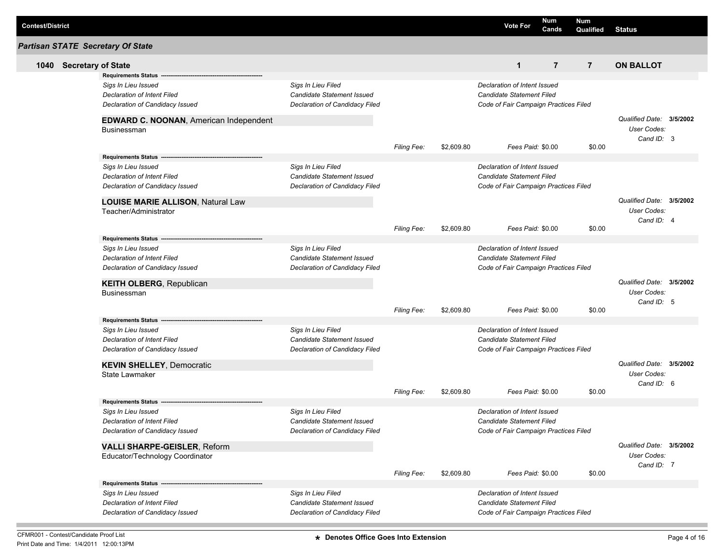| <b>Contest/District</b> |                                                   |                                |                    |            | <b>Vote For</b>                       | Num<br>Cands   | <b>Num</b><br>Qualified | <b>Status</b>            |  |
|-------------------------|---------------------------------------------------|--------------------------------|--------------------|------------|---------------------------------------|----------------|-------------------------|--------------------------|--|
|                         | <b>Partisan STATE Secretary Of State</b>          |                                |                    |            |                                       |                |                         |                          |  |
|                         | 1040 Secretary of State                           |                                |                    |            | $\mathbf{1}$                          | $\overline{7}$ | $\overline{7}$          | <b>ON BALLOT</b>         |  |
|                         | <b>Requirements Status -</b>                      |                                |                    |            |                                       |                |                         |                          |  |
|                         | Sigs In Lieu Issued                               | Sigs In Lieu Filed             |                    |            | Declaration of Intent Issued          |                |                         |                          |  |
|                         | Declaration of Intent Filed                       | Candidate Statement Issued     |                    |            | Candidate Statement Filed             |                |                         |                          |  |
|                         | Declaration of Candidacy Issued                   | Declaration of Candidacy Filed |                    |            | Code of Fair Campaign Practices Filed |                |                         |                          |  |
|                         | EDWARD C. NOONAN, American Independent            |                                |                    |            |                                       |                |                         | Qualified Date: 3/5/2002 |  |
|                         | <b>Businessman</b>                                |                                |                    |            |                                       |                |                         | User Codes:              |  |
|                         |                                                   |                                | <b>Filing Fee:</b> | \$2,609.80 | Fees Paid: \$0.00                     |                | \$0.00                  | Cand ID: 3               |  |
|                         | Requirements Status --                            |                                |                    |            |                                       |                |                         |                          |  |
|                         | Sigs In Lieu Issued                               | Sigs In Lieu Filed             |                    |            | Declaration of Intent Issued          |                |                         |                          |  |
|                         | <b>Declaration of Intent Filed</b>                | Candidate Statement Issued     |                    |            | Candidate Statement Filed             |                |                         |                          |  |
|                         | Declaration of Candidacy Issued                   | Declaration of Candidacy Filed |                    |            | Code of Fair Campaign Practices Filed |                |                         |                          |  |
|                         | LOUISE MARIE ALLISON, Natural Law                 |                                |                    |            |                                       |                |                         | Qualified Date: 3/5/2002 |  |
|                         | Teacher/Administrator                             |                                |                    |            |                                       |                |                         | <b>User Codes:</b>       |  |
|                         |                                                   |                                |                    |            |                                       |                |                         | Cand ID: 4               |  |
|                         |                                                   |                                | <b>Filing Fee:</b> | \$2,609.80 | Fees Paid: \$0.00                     |                | \$0.00                  |                          |  |
|                         | Requirements Status ----------------------------- |                                |                    |            |                                       |                |                         |                          |  |
|                         | Sigs In Lieu Issued                               | Sigs In Lieu Filed             |                    |            | Declaration of Intent Issued          |                |                         |                          |  |
|                         | Declaration of Intent Filed                       | Candidate Statement Issued     |                    |            | Candidate Statement Filed             |                |                         |                          |  |
|                         | Declaration of Candidacy Issued                   | Declaration of Candidacy Filed |                    |            | Code of Fair Campaign Practices Filed |                |                         |                          |  |
|                         | <b>KEITH OLBERG, Republican</b>                   |                                |                    |            |                                       |                |                         | Qualified Date: 3/5/2002 |  |
|                         | Businessman                                       |                                |                    |            |                                       |                |                         | User Codes:              |  |
|                         |                                                   |                                |                    |            |                                       |                |                         | Cand ID: 5               |  |
|                         |                                                   |                                | Filing Fee:        | \$2,609.80 | Fees Paid: \$0.00                     |                | \$0.00                  |                          |  |
|                         | Requirements Status --                            |                                |                    |            |                                       |                |                         |                          |  |
|                         | Sigs In Lieu Issued                               | Sigs In Lieu Filed             |                    |            | Declaration of Intent Issued          |                |                         |                          |  |
|                         | Declaration of Intent Filed                       | Candidate Statement Issued     |                    |            | Candidate Statement Filed             |                |                         |                          |  |
|                         | Declaration of Candidacy Issued                   | Declaration of Candidacy Filed |                    |            | Code of Fair Campaign Practices Filed |                |                         |                          |  |
|                         | <b>KEVIN SHELLEY, Democratic</b>                  |                                |                    |            |                                       |                |                         | Qualified Date: 3/5/2002 |  |
|                         | <b>State Lawmaker</b>                             |                                |                    |            |                                       |                |                         | <b>User Codes:</b>       |  |
|                         |                                                   |                                | <b>Filing Fee:</b> | \$2,609.80 | Fees Paid: \$0.00                     |                | \$0.00                  | Cand ID: 6               |  |
|                         | <b>Requirements Status</b>                        |                                |                    |            |                                       |                |                         |                          |  |
|                         | Sigs In Lieu Issued                               | Sigs In Lieu Filed             |                    |            | Declaration of Intent Issued          |                |                         |                          |  |
|                         | Declaration of Intent Filed                       | Candidate Statement Issued     |                    |            | Candidate Statement Filed             |                |                         |                          |  |
|                         | Declaration of Candidacy Issued                   | Declaration of Candidacy Filed |                    |            | Code of Fair Campaign Practices Filed |                |                         |                          |  |
|                         | <b>VALLI SHARPE-GEISLER, Reform</b>               |                                |                    |            |                                       |                |                         | Qualified Date: 3/5/2002 |  |
|                         | Educator/Technology Coordinator                   |                                |                    |            |                                       |                |                         | User Codes:              |  |
|                         |                                                   |                                |                    |            |                                       |                |                         | Cand ID: 7               |  |
|                         |                                                   |                                | <b>Filing Fee:</b> | \$2,609.80 | Fees Paid: \$0.00                     |                | \$0.00                  |                          |  |
|                         |                                                   |                                |                    |            |                                       |                |                         |                          |  |
|                         | Sigs In Lieu Issued                               | Sigs In Lieu Filed             |                    |            | Declaration of Intent Issued          |                |                         |                          |  |
|                         | <b>Declaration of Intent Filed</b>                | Candidate Statement Issued     |                    |            | Candidate Statement Filed             |                |                         |                          |  |
|                         | Declaration of Candidacy Issued                   | Declaration of Candidacy Filed |                    |            | Code of Fair Campaign Practices Filed |                |                         |                          |  |

**The State**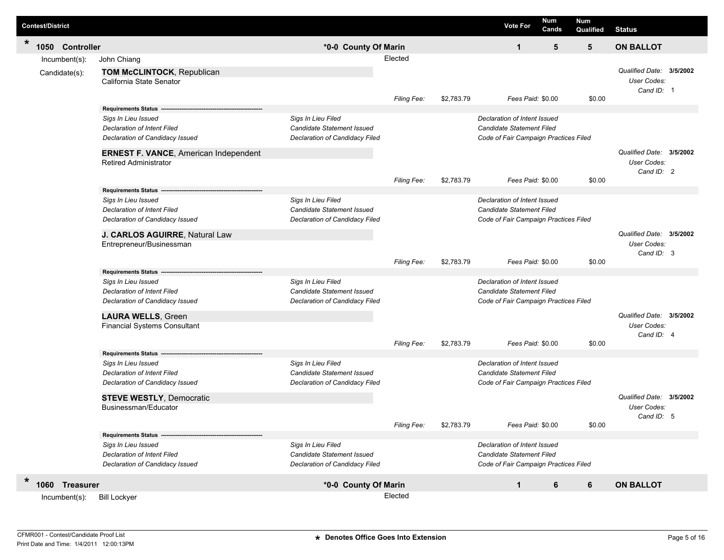| <b>Contest/District</b> |                                |                                                                                                                                                                                                            |                                                                                    |                               |            | <b>Vote For</b>                                                                                                         | <b>Num</b><br>Cands | <b>Num</b><br>Qualified | <b>Status</b>                                         |  |
|-------------------------|--------------------------------|------------------------------------------------------------------------------------------------------------------------------------------------------------------------------------------------------------|------------------------------------------------------------------------------------|-------------------------------|------------|-------------------------------------------------------------------------------------------------------------------------|---------------------|-------------------------|-------------------------------------------------------|--|
| $\star$                 | 1050 Controller                |                                                                                                                                                                                                            | *0-0 County Of Marin                                                               |                               |            | $\mathbf{1}$                                                                                                            | 5                   | 5                       | <b>ON BALLOT</b>                                      |  |
|                         | Incumbent(s):<br>Candidate(s): | John Chiang<br>TOM McCLINTOCK, Republican<br>California State Senator                                                                                                                                      |                                                                                    | Elected<br><b>Filing Fee:</b> | \$2,783.79 | Fees Paid: \$0.00                                                                                                       |                     | \$0.00                  | Qualified Date: 3/5/2002<br>User Codes:<br>Cand ID: 1 |  |
|                         |                                | <b>Requirements Status</b><br>Sigs In Lieu Issued<br><b>Declaration of Intent Filed</b><br>Declaration of Candidacy Issued<br><b>ERNEST F. VANCE, American Independent</b><br><b>Retired Administrator</b> | Sigs In Lieu Filed<br>Candidate Statement Issued<br>Declaration of Candidacy Filed |                               |            | Declaration of Intent Issued<br>Candidate Statement Filed<br>Code of Fair Campaign Practices Filed                      |                     |                         | Qualified Date: 3/5/2002<br>User Codes:<br>Cand ID: 2 |  |
|                         |                                | <b>Requirements Status</b><br>Sigs In Lieu Issued<br><b>Declaration of Intent Filed</b><br>Declaration of Candidacy Issued                                                                                 | Sigs In Lieu Filed<br>Candidate Statement Issued<br>Declaration of Candidacy Filed | Filing Fee:                   | \$2,783.79 | Fees Paid: \$0.00<br>Declaration of Intent Issued<br>Candidate Statement Filed<br>Code of Fair Campaign Practices Filed |                     | \$0.00                  |                                                       |  |
|                         |                                | J. CARLOS AGUIRRE, Natural Law<br>Entrepreneur/Businessman<br><b>Requirements Status</b><br>Sigs In Lieu Issued                                                                                            | Sigs In Lieu Filed                                                                 | <b>Filing Fee:</b>            | \$2,783.79 | Fees Paid: \$0.00<br>Declaration of Intent Issued                                                                       |                     | \$0.00                  | Qualified Date: 3/5/2002<br>User Codes:<br>Cand ID: 3 |  |
|                         |                                | <b>Declaration of Intent Filed</b><br>Declaration of Candidacy Issued<br><b>LAURA WELLS, Green</b><br><b>Financial Systems Consultant</b>                                                                  | Candidate Statement Issued<br>Declaration of Candidacy Filed                       | Filing Fee:                   | \$2,783.79 | Candidate Statement Filed<br>Code of Fair Campaign Practices Filed<br>Fees Paid: \$0.00                                 |                     | \$0.00                  | Qualified Date: 3/5/2002<br>User Codes:<br>Cand ID: 4 |  |
|                         |                                | <b>Requirements Status</b><br>Sigs In Lieu Issued<br><b>Declaration of Intent Filed</b><br>Declaration of Candidacy Issued<br><b>STEVE WESTLY, Democratic</b>                                              | Sigs In Lieu Filed<br>Candidate Statement Issued<br>Declaration of Candidacy Filed |                               |            | Declaration of Intent Issued<br>Candidate Statement Filed<br>Code of Fair Campaign Practices Filed                      |                     |                         | Qualified Date: 3/5/2002                              |  |
|                         |                                | Businessman/Educator<br><b>Requirements Status --</b><br>Sigs In Lieu Issued<br>Declaration of Intent Filed<br>Declaration of Candidacy Issued                                                             | Sigs In Lieu Filed<br>Candidate Statement Issued<br>Declaration of Candidacy Filed | Filing Fee:                   | \$2,783.79 | Fees Paid: \$0.00<br>Declaration of Intent Issued<br>Candidate Statement Filed<br>Code of Fair Campaign Practices Filed |                     | \$0.00                  | User Codes:<br>Cand ID: 5                             |  |
| $\ast$                  | 1060 Treasurer                 |                                                                                                                                                                                                            | *0-0 County Of Marin                                                               |                               |            | $\mathbf{1}$                                                                                                            | 6                   | 6                       | <b>ON BALLOT</b>                                      |  |
|                         | Incumbent(s):                  | <b>Bill Lockyer</b>                                                                                                                                                                                        |                                                                                    | Elected                       |            |                                                                                                                         |                     |                         |                                                       |  |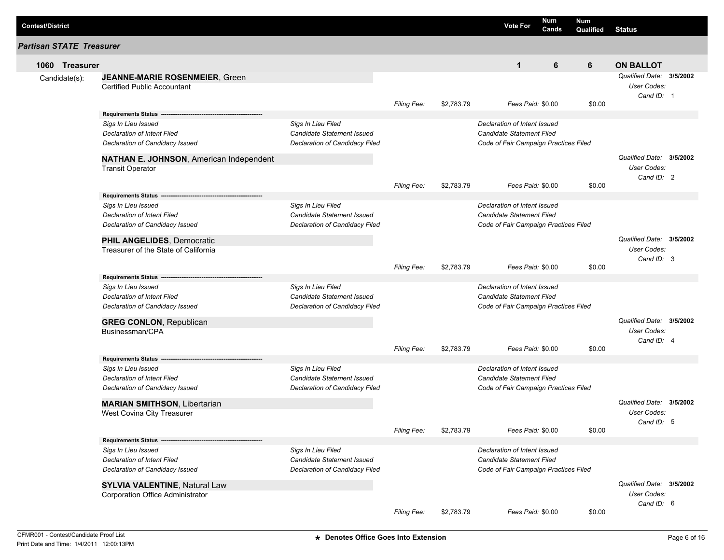| <b>Contest/District</b>         |                                                                                                                     |                                                                                           |                    |            | <b>Vote For</b>                                                                                           | Num<br>Cands | Num<br>Qualified | <b>Status</b>                                         |          |
|---------------------------------|---------------------------------------------------------------------------------------------------------------------|-------------------------------------------------------------------------------------------|--------------------|------------|-----------------------------------------------------------------------------------------------------------|--------------|------------------|-------------------------------------------------------|----------|
| <b>Partisan STATE Treasurer</b> |                                                                                                                     |                                                                                           |                    |            |                                                                                                           |              |                  |                                                       |          |
| 1060 Treasurer                  |                                                                                                                     |                                                                                           |                    |            | $\mathbf{1}$                                                                                              | 6            | 6                | <b>ON BALLOT</b>                                      |          |
| Candidate(s):                   | <b>JEANNE-MARIE ROSENMEIER, Green</b><br><b>Certified Public Accountant</b>                                         |                                                                                           | <b>Filing Fee:</b> | \$2,783.79 | Fees Paid: \$0.00                                                                                         |              | \$0.00           | Qualified Date:<br>User Codes:<br>Cand ID: 1          | 3/5/2002 |
|                                 | <b>Requirements Status</b>                                                                                          |                                                                                           |                    |            |                                                                                                           |              |                  |                                                       |          |
|                                 | Sigs In Lieu Issued<br><b>Declaration of Intent Filed</b><br>Declaration of Candidacy Issued                        | Sigs In Lieu Filed<br><b>Candidate Statement Issued</b><br>Declaration of Candidacy Filed |                    |            | Declaration of Intent Issued<br><b>Candidate Statement Filed</b><br>Code of Fair Campaign Practices Filed |              |                  |                                                       |          |
|                                 | NATHAN E. JOHNSON, American Independent<br><b>Transit Operator</b>                                                  |                                                                                           |                    |            |                                                                                                           |              |                  | Qualified Date: 3/5/2002<br>User Codes:<br>Cand ID: 2 |          |
|                                 |                                                                                                                     |                                                                                           | <b>Filing Fee:</b> | \$2,783.79 | Fees Paid: \$0.00                                                                                         |              | \$0.00           |                                                       |          |
|                                 | <b>Requirements Status</b><br>Sigs In Lieu Issued<br>Declaration of Intent Filed<br>Declaration of Candidacy Issued | Sigs In Lieu Filed<br><b>Candidate Statement Issued</b><br>Declaration of Candidacy Filed |                    |            | Declaration of Intent Issued<br><b>Candidate Statement Filed</b><br>Code of Fair Campaign Practices Filed |              |                  |                                                       |          |
|                                 | PHIL ANGELIDES, Democratic<br>Treasurer of the State of California                                                  |                                                                                           | <b>Filing Fee:</b> | \$2,783.79 | Fees Paid: \$0.00                                                                                         |              | \$0.00           | Qualified Date: 3/5/2002<br>User Codes:<br>Cand ID: 3 |          |
|                                 | <b>Requirements Status</b>                                                                                          |                                                                                           |                    |            |                                                                                                           |              |                  |                                                       |          |
|                                 | Sigs In Lieu Issued<br>Declaration of Intent Filed<br>Declaration of Candidacy Issued                               | Sigs In Lieu Filed<br>Candidate Statement Issued<br>Declaration of Candidacy Filed        |                    |            | Declaration of Intent Issued<br><b>Candidate Statement Filed</b><br>Code of Fair Campaign Practices Filed |              |                  |                                                       |          |
|                                 | <b>GREG CONLON, Republican</b><br>Businessman/CPA                                                                   |                                                                                           |                    |            |                                                                                                           |              |                  | Qualified Date: 3/5/2002<br>User Codes:<br>Cand ID: 4 |          |
|                                 |                                                                                                                     |                                                                                           | <b>Filing Fee:</b> | \$2,783.79 | Fees Paid: \$0.00                                                                                         |              | \$0.00           |                                                       |          |
|                                 | <b>Requirements Status</b><br>Sigs In Lieu Issued<br>Declaration of Intent Filed<br>Declaration of Candidacy Issued | Sigs In Lieu Filed<br><b>Candidate Statement Issued</b><br>Declaration of Candidacy Filed |                    |            | Declaration of Intent Issued<br><b>Candidate Statement Filed</b><br>Code of Fair Campaign Practices Filed |              |                  |                                                       |          |
|                                 | <b>MARIAN SMITHSON, Libertarian</b>                                                                                 |                                                                                           |                    |            |                                                                                                           |              |                  | Qualified Date: 3/5/2002                              |          |
|                                 | West Covina City Treasurer                                                                                          |                                                                                           | Filing Fee:        | \$2,783.79 | Fees Paid: \$0.00                                                                                         |              | \$0.00           | User Codes:<br>Cand ID: 5                             |          |
|                                 | <b>Requirements Status</b>                                                                                          |                                                                                           |                    |            |                                                                                                           |              |                  |                                                       |          |
|                                 | Sigs In Lieu Issued<br>Declaration of Intent Filed<br>Declaration of Candidacy Issued                               | Sigs In Lieu Filed<br>Candidate Statement Issued<br>Declaration of Candidacy Filed        |                    |            | Declaration of Intent Issued<br>Candidate Statement Filed<br>Code of Fair Campaign Practices Filed        |              |                  |                                                       |          |
|                                 | <b>SYLVIA VALENTINE, Natural Law</b><br>Corporation Office Administrator                                            |                                                                                           |                    |            |                                                                                                           |              |                  | Qualified Date: 3/5/2002<br>User Codes:<br>Cand ID: 6 |          |
|                                 |                                                                                                                     |                                                                                           | Filing Fee:        | \$2,783.79 | Fees Paid: \$0.00                                                                                         |              | \$0.00           |                                                       |          |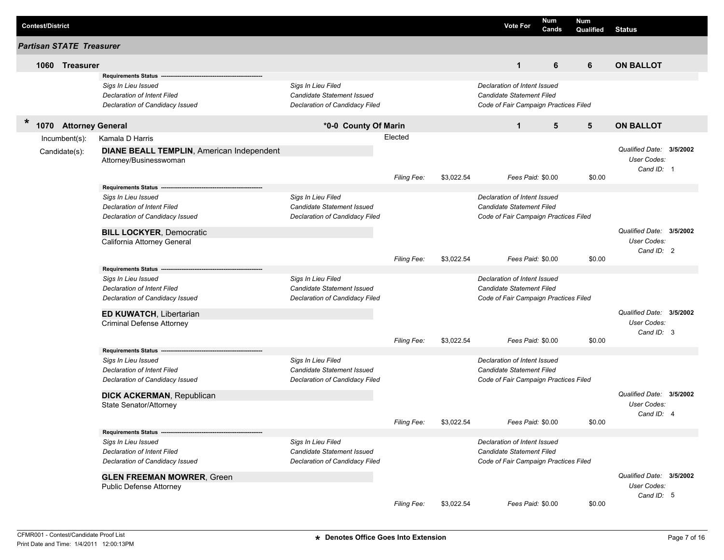| <b>Contest/District</b>              |                                                   |                                |                    |            | <b>Vote For</b>                       | Num<br>Cands | <b>Num</b><br>Qualified | <b>Status</b>                           |  |
|--------------------------------------|---------------------------------------------------|--------------------------------|--------------------|------------|---------------------------------------|--------------|-------------------------|-----------------------------------------|--|
| <b>Partisan STATE Treasurer</b>      |                                                   |                                |                    |            |                                       |              |                         |                                         |  |
| 1060 Treasurer                       |                                                   |                                |                    |            | $\mathbf{1}$                          | 6            | 6                       | <b>ON BALLOT</b>                        |  |
|                                      | <b>Requirements Status</b>                        |                                |                    |            |                                       |              |                         |                                         |  |
|                                      | Sigs In Lieu Issued                               | Sigs In Lieu Filed             |                    |            | Declaration of Intent Issued          |              |                         |                                         |  |
|                                      | Declaration of Intent Filed                       | Candidate Statement Issued     |                    |            | Candidate Statement Filed             |              |                         |                                         |  |
|                                      | Declaration of Candidacy Issued                   | Declaration of Candidacy Filed |                    |            | Code of Fair Campaign Practices Filed |              |                         |                                         |  |
| *<br><b>Attorney General</b><br>1070 |                                                   | *0-0 County Of Marin           |                    |            | $\mathbf{1}$                          | 5            | 5                       | <b>ON BALLOT</b>                        |  |
| $Incumbent(s)$ :                     | Kamala D Harris                                   |                                | Elected            |            |                                       |              |                         |                                         |  |
| Candidate(s):                        | <b>DIANE BEALL TEMPLIN, American Independent</b>  |                                |                    |            |                                       |              |                         | Qualified Date: 3/5/2002                |  |
|                                      | Attorney/Businesswoman                            |                                |                    |            |                                       |              |                         | User Codes:                             |  |
|                                      |                                                   |                                |                    |            |                                       |              |                         | Cand ID: 1                              |  |
|                                      | <b>Requirements Status</b>                        |                                | <b>Filing Fee:</b> | \$3,022.54 | Fees Paid: \$0.00                     |              | \$0.00                  |                                         |  |
|                                      | Sigs In Lieu Issued                               | Sigs In Lieu Filed             |                    |            | Declaration of Intent Issued          |              |                         |                                         |  |
|                                      | Declaration of Intent Filed                       | Candidate Statement Issued     |                    |            | Candidate Statement Filed             |              |                         |                                         |  |
|                                      | Declaration of Candidacy Issued                   | Declaration of Candidacy Filed |                    |            | Code of Fair Campaign Practices Filed |              |                         |                                         |  |
|                                      |                                                   |                                |                    |            |                                       |              |                         |                                         |  |
|                                      | <b>BILL LOCKYER, Democratic</b>                   |                                |                    |            |                                       |              |                         | Qualified Date: 3/5/2002<br>User Codes: |  |
|                                      | California Attorney General                       |                                |                    |            |                                       |              |                         | Cand ID: 2                              |  |
|                                      |                                                   |                                | <b>Filing Fee:</b> | \$3,022.54 | Fees Paid: \$0.00                     |              | \$0.00                  |                                         |  |
|                                      | <b>Requirements Status</b>                        |                                |                    |            |                                       |              |                         |                                         |  |
|                                      | Sigs In Lieu Issued                               | Sigs In Lieu Filed             |                    |            | Declaration of Intent Issued          |              |                         |                                         |  |
|                                      | Declaration of Intent Filed                       | Candidate Statement Issued     |                    |            | Candidate Statement Filed             |              |                         |                                         |  |
|                                      | Declaration of Candidacy Issued                   | Declaration of Candidacy Filed |                    |            | Code of Fair Campaign Practices Filed |              |                         |                                         |  |
|                                      | <b>ED KUWATCH, Libertarian</b>                    |                                |                    |            |                                       |              |                         | Qualified Date: 3/5/2002                |  |
|                                      | <b>Criminal Defense Attorney</b>                  |                                |                    |            |                                       |              |                         | User Codes:                             |  |
|                                      |                                                   |                                |                    |            |                                       |              |                         | Cand ID: 3                              |  |
|                                      |                                                   |                                | <b>Filing Fee:</b> | \$3,022.54 | Fees Paid: \$0.00                     |              | \$0.00                  |                                         |  |
|                                      | <b>Requirements Status</b><br>Sigs In Lieu Issued | Sigs In Lieu Filed             |                    |            | Declaration of Intent Issued          |              |                         |                                         |  |
|                                      | <b>Declaration of Intent Filed</b>                | Candidate Statement Issued     |                    |            | Candidate Statement Filed             |              |                         |                                         |  |
|                                      | Declaration of Candidacy Issued                   | Declaration of Candidacy Filed |                    |            | Code of Fair Campaign Practices Filed |              |                         |                                         |  |
|                                      |                                                   |                                |                    |            |                                       |              |                         |                                         |  |
|                                      | <b>DICK ACKERMAN, Republican</b>                  |                                |                    |            |                                       |              |                         | Qualified Date: 3/5/2002                |  |
|                                      | State Senator/Attorney                            |                                |                    |            |                                       |              |                         | <b>User Codes:</b><br>Cand ID: 4        |  |
|                                      |                                                   |                                | Filing Fee:        | \$3,022.54 | Fees Paid: \$0.00                     |              | \$0.00                  |                                         |  |
|                                      | Requirements Status -----                         |                                |                    |            |                                       |              |                         |                                         |  |
|                                      | Sigs In Lieu Issued                               | Sigs In Lieu Filed             |                    |            | Declaration of Intent Issued          |              |                         |                                         |  |
|                                      | Declaration of Intent Filed                       | Candidate Statement Issued     |                    |            | Candidate Statement Filed             |              |                         |                                         |  |
|                                      | Declaration of Candidacy Issued                   | Declaration of Candidacy Filed |                    |            | Code of Fair Campaign Practices Filed |              |                         |                                         |  |
|                                      | <b>GLEN FREEMAN MOWRER, Green</b>                 |                                |                    |            |                                       |              |                         | Qualified Date: 3/5/2002                |  |
|                                      | Public Defense Attorney                           |                                |                    |            |                                       |              |                         | User Codes:                             |  |
|                                      |                                                   |                                |                    |            |                                       |              |                         | Cand ID: 5                              |  |
|                                      |                                                   |                                | Filing Fee:        | \$3,022.54 | Fees Paid: \$0.00                     |              | \$0.00                  |                                         |  |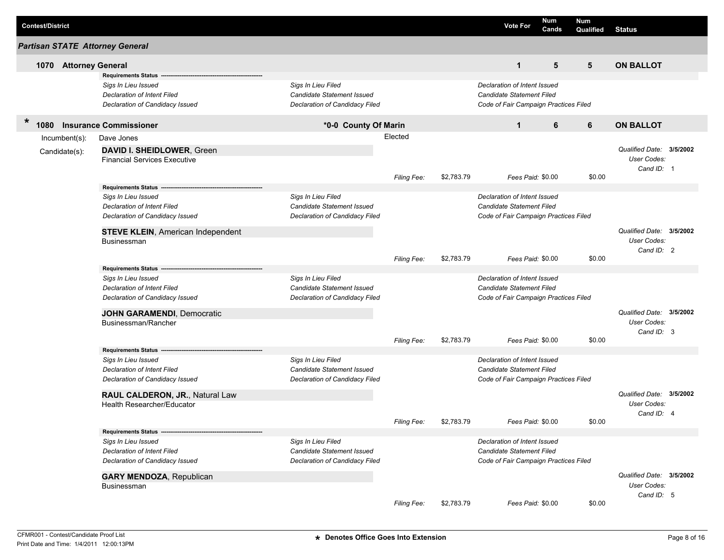|        | <b>Contest/District</b> |                         |                                                         |                                   |                    |            | <b>Vote For</b>                       | Num<br>Cands | Num<br>Qualified | Status                   |  |
|--------|-------------------------|-------------------------|---------------------------------------------------------|-----------------------------------|--------------------|------------|---------------------------------------|--------------|------------------|--------------------------|--|
|        |                         |                         | <b>Partisan STATE Attorney General</b>                  |                                   |                    |            |                                       |              |                  |                          |  |
|        | 1070                    | <b>Attorney General</b> |                                                         |                                   |                    |            | $\mathbf{1}$                          | 5            | 5                | <b>ON BALLOT</b>         |  |
|        |                         |                         | <b>Requirements Status</b>                              |                                   |                    |            |                                       |              |                  |                          |  |
|        |                         |                         | Sigs In Lieu Issued                                     | Sigs In Lieu Filed                |                    |            | Declaration of Intent Issued          |              |                  |                          |  |
|        |                         |                         | Declaration of Intent Filed                             | Candidate Statement Issued        |                    |            | <b>Candidate Statement Filed</b>      |              |                  |                          |  |
|        |                         |                         | Declaration of Candidacy Issued                         | Declaration of Candidacy Filed    |                    |            | Code of Fair Campaign Practices Filed |              |                  |                          |  |
| $\ast$ | 1080                    |                         | <b>Insurance Commissioner</b>                           | *0-0 County Of Marin              |                    |            | $\mathbf{1}$                          | 6            | 6                | <b>ON BALLOT</b>         |  |
|        |                         | $lncumbent(s)$ :        | Dave Jones                                              |                                   | Elected            |            |                                       |              |                  |                          |  |
|        |                         | Candidate(s):           | DAVID I. SHEIDLOWER, Green                              |                                   |                    |            |                                       |              |                  | Qualified Date: 3/5/2002 |  |
|        |                         |                         | <b>Financial Services Executive</b>                     |                                   |                    |            |                                       |              |                  | User Codes:              |  |
|        |                         |                         |                                                         |                                   |                    |            |                                       |              |                  | Cand ID: 1               |  |
|        |                         |                         | <b>Requirements Status</b>                              |                                   | <b>Filing Fee:</b> | \$2,783.79 | Fees Paid: \$0.00                     |              | \$0.00           |                          |  |
|        |                         |                         | Sigs In Lieu Issued                                     | Sigs In Lieu Filed                |                    |            | Declaration of Intent Issued          |              |                  |                          |  |
|        |                         |                         | Declaration of Intent Filed                             | Candidate Statement Issued        |                    |            | <b>Candidate Statement Filed</b>      |              |                  |                          |  |
|        |                         |                         | Declaration of Candidacy Issued                         | Declaration of Candidacy Filed    |                    |            | Code of Fair Campaign Practices Filed |              |                  |                          |  |
|        |                         |                         |                                                         |                                   |                    |            |                                       |              |                  | Qualified Date: 3/5/2002 |  |
|        |                         |                         | <b>STEVE KLEIN, American Independent</b><br>Businessman |                                   |                    |            |                                       |              |                  | User Codes:              |  |
|        |                         |                         |                                                         |                                   |                    |            |                                       |              |                  | Cand ID: 2               |  |
|        |                         |                         |                                                         |                                   | Filing Fee:        | \$2,783.79 | Fees Paid: \$0.00                     |              | \$0.00           |                          |  |
|        |                         |                         | <b>Requirements Status</b>                              |                                   |                    |            |                                       |              |                  |                          |  |
|        |                         |                         | Sigs In Lieu Issued                                     | Sigs In Lieu Filed                |                    |            | Declaration of Intent Issued          |              |                  |                          |  |
|        |                         |                         | Declaration of Intent Filed                             | <b>Candidate Statement Issued</b> |                    |            | <b>Candidate Statement Filed</b>      |              |                  |                          |  |
|        |                         |                         | Declaration of Candidacy Issued                         | Declaration of Candidacy Filed    |                    |            | Code of Fair Campaign Practices Filed |              |                  |                          |  |
|        |                         |                         | <b>JOHN GARAMENDI, Democratic</b>                       |                                   |                    |            |                                       |              |                  | Qualified Date: 3/5/2002 |  |
|        |                         |                         | Businessman/Rancher                                     |                                   |                    |            |                                       |              |                  | User Codes:              |  |
|        |                         |                         |                                                         |                                   | Filing Fee:        | \$2,783.79 | Fees Paid: \$0.00                     |              | \$0.00           | Cand ID: 3               |  |
|        |                         |                         | <b>Requirements Status</b>                              |                                   |                    |            |                                       |              |                  |                          |  |
|        |                         |                         | Sigs In Lieu Issued                                     | Sigs In Lieu Filed                |                    |            | Declaration of Intent Issued          |              |                  |                          |  |
|        |                         |                         | Declaration of Intent Filed                             | Candidate Statement Issued        |                    |            | <b>Candidate Statement Filed</b>      |              |                  |                          |  |
|        |                         |                         | Declaration of Candidacy Issued                         | Declaration of Candidacy Filed    |                    |            | Code of Fair Campaign Practices Filed |              |                  |                          |  |
|        |                         |                         | RAUL CALDERON, JR., Natural Law                         |                                   |                    |            |                                       |              |                  | Qualified Date: 3/5/2002 |  |
|        |                         |                         | Health Researcher/Educator                              |                                   |                    |            |                                       |              |                  | User Codes:              |  |
|        |                         |                         |                                                         |                                   |                    |            |                                       |              |                  | Cand ID: 4               |  |
|        |                         |                         |                                                         |                                   | Filing Fee:        | \$2,783.79 | Fees Paid: \$0.00                     |              | \$0.00           |                          |  |
|        |                         |                         | Sigs In Lieu Issued                                     | Sigs In Lieu Filed                |                    |            | Declaration of Intent Issued          |              |                  |                          |  |
|        |                         |                         | Declaration of Intent Filed                             | Candidate Statement Issued        |                    |            | Candidate Statement Filed             |              |                  |                          |  |
|        |                         |                         | Declaration of Candidacy Issued                         | Declaration of Candidacy Filed    |                    |            | Code of Fair Campaign Practices Filed |              |                  |                          |  |
|        |                         |                         | <b>GARY MENDOZA, Republican</b>                         |                                   |                    |            |                                       |              |                  | Qualified Date: 3/5/2002 |  |
|        |                         |                         | Businessman                                             |                                   |                    |            |                                       |              |                  | User Codes:              |  |
|        |                         |                         |                                                         |                                   |                    |            |                                       |              |                  | Cand ID: 5               |  |
|        |                         |                         |                                                         |                                   | Filing Fee:        | \$2,783.79 | Fees Paid: \$0.00                     |              | \$0.00           |                          |  |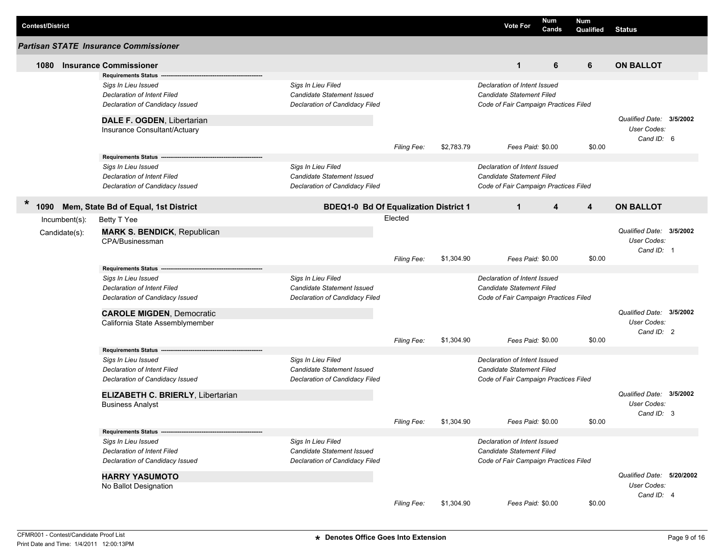| <b>Contest/District</b> |                                              |                                              |             |            | <b>Vote For</b>                       | <b>Num</b><br>Cands | <b>Num</b><br>Qualified | <b>Status</b>             |  |
|-------------------------|----------------------------------------------|----------------------------------------------|-------------|------------|---------------------------------------|---------------------|-------------------------|---------------------------|--|
|                         | <b>Partisan STATE Insurance Commissioner</b> |                                              |             |            |                                       |                     |                         |                           |  |
| 1080                    | <b>Insurance Commissioner</b>                |                                              |             |            | $\mathbf{1}$                          | 6                   | 6                       | <b>ON BALLOT</b>          |  |
|                         | <b>Requirements Status</b>                   |                                              |             |            |                                       |                     |                         |                           |  |
|                         | Sigs In Lieu Issued                          | Sigs In Lieu Filed                           |             |            | Declaration of Intent Issued          |                     |                         |                           |  |
|                         | <b>Declaration of Intent Filed</b>           | Candidate Statement Issued                   |             |            | Candidate Statement Filed             |                     |                         |                           |  |
|                         | Declaration of Candidacy Issued              | Declaration of Candidacy Filed               |             |            | Code of Fair Campaign Practices Filed |                     |                         |                           |  |
|                         | DALE F. OGDEN, Libertarian                   |                                              |             |            |                                       |                     |                         | Qualified Date: 3/5/2002  |  |
|                         | Insurance Consultant/Actuary                 |                                              |             |            |                                       |                     |                         | <b>User Codes:</b>        |  |
|                         |                                              |                                              | Filing Fee: | \$2,783.79 | Fees Paid: \$0.00                     |                     | \$0.00                  | Cand ID: 6                |  |
|                         | <b>Requirements Status --</b>                |                                              |             |            |                                       |                     |                         |                           |  |
|                         | Sigs In Lieu Issued                          | Sigs In Lieu Filed                           |             |            | Declaration of Intent Issued          |                     |                         |                           |  |
|                         | <b>Declaration of Intent Filed</b>           | <b>Candidate Statement Issued</b>            |             |            | Candidate Statement Filed             |                     |                         |                           |  |
|                         | Declaration of Candidacy Issued              | Declaration of Candidacy Filed               |             |            | Code of Fair Campaign Practices Filed |                     |                         |                           |  |
| $\ast$                  |                                              |                                              |             |            |                                       |                     |                         |                           |  |
| 1090                    | Mem, State Bd of Equal, 1st District         | <b>BDEQ1-0 Bd Of Equalization District 1</b> |             |            | $\mathbf{1}$                          | 4                   | 4                       | <b>ON BALLOT</b>          |  |
| $Incumbent(s)$ :        | Betty T Yee                                  |                                              | Elected     |            |                                       |                     |                         |                           |  |
| Candidate(s):           | <b>MARK S. BENDICK, Republican</b>           |                                              |             |            |                                       |                     |                         | Qualified Date: 3/5/2002  |  |
|                         | CPA/Businessman                              |                                              |             |            |                                       |                     |                         | <b>User Codes:</b>        |  |
|                         |                                              |                                              |             |            |                                       |                     |                         | Cand ID: 1                |  |
|                         |                                              |                                              | Filing Fee: | \$1,304.90 | Fees Paid: \$0.00                     |                     | \$0.00                  |                           |  |
|                         | <b>Requirements Status --</b>                |                                              |             |            |                                       |                     |                         |                           |  |
|                         | Sigs In Lieu Issued                          | Sigs In Lieu Filed                           |             |            | Declaration of Intent Issued          |                     |                         |                           |  |
|                         | <b>Declaration of Intent Filed</b>           | Candidate Statement Issued                   |             |            | Candidate Statement Filed             |                     |                         |                           |  |
|                         | Declaration of Candidacy Issued              | Declaration of Candidacy Filed               |             |            | Code of Fair Campaign Practices Filed |                     |                         |                           |  |
|                         | <b>CAROLE MIGDEN, Democratic</b>             |                                              |             |            |                                       |                     |                         | Qualified Date: 3/5/2002  |  |
|                         | California State Assemblymember              |                                              |             |            |                                       |                     |                         | <b>User Codes:</b>        |  |
|                         |                                              |                                              | Filing Fee: | \$1,304.90 | Fees Paid: \$0.00                     |                     | \$0.00                  | Cand ID: 2                |  |
|                         | Requirements Status -----                    |                                              |             |            |                                       |                     |                         |                           |  |
|                         | Sigs In Lieu Issued                          | Sigs In Lieu Filed                           |             |            | Declaration of Intent Issued          |                     |                         |                           |  |
|                         | <b>Declaration of Intent Filed</b>           | Candidate Statement Issued                   |             |            | <b>Candidate Statement Filed</b>      |                     |                         |                           |  |
|                         | Declaration of Candidacy Issued              | Declaration of Candidacy Filed               |             |            | Code of Fair Campaign Practices Filed |                     |                         |                           |  |
|                         | ELIZABETH C. BRIERLY, Libertarian            |                                              |             |            |                                       |                     |                         | Qualified Date: 3/5/2002  |  |
|                         | <b>Business Analyst</b>                      |                                              |             |            |                                       |                     |                         | <b>User Codes:</b>        |  |
|                         |                                              |                                              |             |            |                                       |                     |                         | Cand ID: 3                |  |
|                         |                                              |                                              | Filing Fee: | \$1,304.90 | Fees Paid: \$0.00                     |                     | \$0.00                  |                           |  |
|                         | Requirements Status ---                      |                                              |             |            |                                       |                     |                         |                           |  |
|                         | Sigs In Lieu Issued                          | Sigs In Lieu Filed                           |             |            | Declaration of Intent Issued          |                     |                         |                           |  |
|                         | Declaration of Intent Filed                  | Candidate Statement Issued                   |             |            | Candidate Statement Filed             |                     |                         |                           |  |
|                         | Declaration of Candidacy Issued              | Declaration of Candidacy Filed               |             |            | Code of Fair Campaign Practices Filed |                     |                         |                           |  |
|                         | <b>HARRY YASUMOTO</b>                        |                                              |             |            |                                       |                     |                         | Qualified Date: 5/20/2002 |  |
|                         | No Ballot Designation                        |                                              |             |            |                                       |                     |                         | User Codes:               |  |
|                         |                                              |                                              |             |            |                                       |                     |                         | Cand ID: 4                |  |
|                         |                                              |                                              | Filing Fee: | \$1,304.90 | Fees Paid: \$0.00                     |                     | \$0.00                  |                           |  |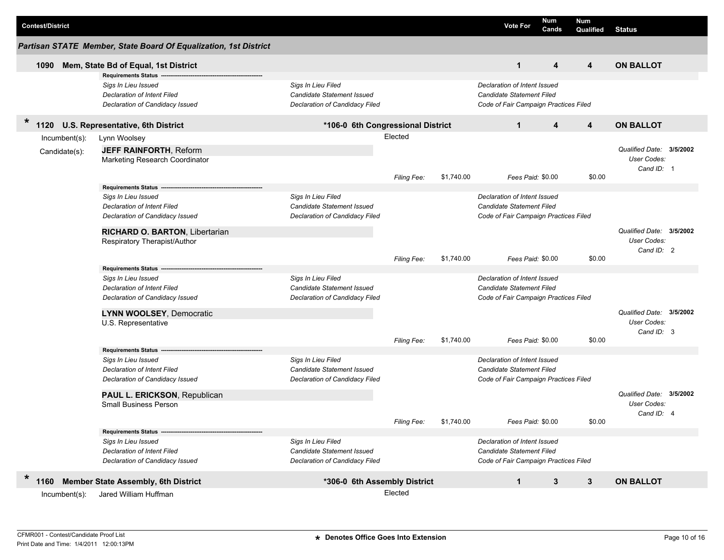| <b>Contest/District</b>        |                                                                                                                                                                                              |                                                                                    |                    |            | <b>Vote For</b>                                                                                                         | Num<br>Cands | Num<br>Qualified        | <b>Status</b>                                         |  |
|--------------------------------|----------------------------------------------------------------------------------------------------------------------------------------------------------------------------------------------|------------------------------------------------------------------------------------|--------------------|------------|-------------------------------------------------------------------------------------------------------------------------|--------------|-------------------------|-------------------------------------------------------|--|
|                                | Partisan STATE Member, State Board Of Equalization, 1st District                                                                                                                             |                                                                                    |                    |            |                                                                                                                         |              |                         |                                                       |  |
| 1090                           | Mem, State Bd of Equal, 1st District                                                                                                                                                         |                                                                                    |                    |            | $\mathbf{1}$                                                                                                            | 4            | 4                       | <b>ON BALLOT</b>                                      |  |
|                                | <b>Requirements Status</b><br>Sigs In Lieu Issued<br>Declaration of Intent Filed<br>Declaration of Candidacy Issued                                                                          | Sigs In Lieu Filed<br>Candidate Statement Issued<br>Declaration of Candidacy Filed |                    |            | Declaration of Intent Issued<br>Candidate Statement Filed<br>Code of Fair Campaign Practices Filed                      |              |                         |                                                       |  |
| $\ast$<br>1120                 | U.S. Representative, 6th District                                                                                                                                                            | *106-0 6th Congressional District                                                  |                    |            | $\mathbf{1}$                                                                                                            | 4            | $\overline{\mathbf{4}}$ | <b>ON BALLOT</b>                                      |  |
| Incumbent(s):<br>Candidate(s): | Lynn Woolsey<br><b>JEFF RAINFORTH, Reform</b><br>Marketing Research Coordinator                                                                                                              |                                                                                    | Elected            |            |                                                                                                                         |              |                         | Qualified Date: 3/5/2002<br>User Codes:<br>Cand ID: 1 |  |
|                                | <b>Requirements Status</b><br>Sigs In Lieu Issued<br><b>Declaration of Intent Filed</b><br>Declaration of Candidacy Issued<br>RICHARD O. BARTON, Libertarian<br>Respiratory Therapist/Author | Sigs In Lieu Filed<br>Candidate Statement Issued<br>Declaration of Candidacy Filed | <b>Filing Fee:</b> | \$1,740.00 | Fees Paid: \$0.00<br>Declaration of Intent Issued<br>Candidate Statement Filed<br>Code of Fair Campaign Practices Filed |              | \$0.00                  | Qualified Date: 3/5/2002<br>User Codes:               |  |
|                                |                                                                                                                                                                                              |                                                                                    | Filing Fee:        | \$1,740.00 | Fees Paid: \$0.00                                                                                                       |              | \$0.00                  | Cand ID: 2                                            |  |
|                                | <b>Requirements Status</b><br>Sigs In Lieu Issued<br>Declaration of Intent Filed<br>Declaration of Candidacy Issued<br>LYNN WOOLSEY, Democratic<br>U.S. Representative                       | Sigs In Lieu Filed<br>Candidate Statement Issued<br>Declaration of Candidacy Filed |                    |            | Declaration of Intent Issued<br>Candidate Statement Filed<br>Code of Fair Campaign Practices Filed                      |              |                         | Qualified Date: 3/5/2002<br>User Codes:               |  |
|                                |                                                                                                                                                                                              |                                                                                    | Filing Fee:        | \$1,740.00 | Fees Paid: \$0.00                                                                                                       |              | \$0.00                  | Cand ID: 3                                            |  |
|                                | <b>Requirements Status</b><br>Sigs In Lieu Issued<br>Declaration of Intent Filed<br>Declaration of Candidacy Issued<br>PAUL L. ERICKSON, Republican<br><b>Small Business Person</b>          | Sigs In Lieu Filed<br>Candidate Statement Issued<br>Declaration of Candidacy Filed |                    |            | Declaration of Intent Issued<br>Candidate Statement Filed<br>Code of Fair Campaign Practices Filed                      |              |                         | Qualified Date: 3/5/2002<br><b>User Codes:</b>        |  |
|                                |                                                                                                                                                                                              |                                                                                    | Filing Fee:        | \$1,740.00 | Fees Paid: \$0.00                                                                                                       |              | \$0.00                  | Cand ID: 4                                            |  |
|                                | Requirements Status ----<br>Sigs In Lieu Issued<br>Declaration of Intent Filed<br>Declaration of Candidacy Issued                                                                            | Sigs In Lieu Filed<br>Candidate Statement Issued<br>Declaration of Candidacy Filed |                    |            | Declaration of Intent Issued<br>Candidate Statement Filed<br>Code of Fair Campaign Practices Filed                      |              |                         |                                                       |  |
| $\ast$<br>1160                 | <b>Member State Assembly, 6th District</b>                                                                                                                                                   | *306-0 6th Assembly District                                                       |                    |            | $\mathbf{1}$                                                                                                            | 3            | $3\phantom{.0}$         | <b>ON BALLOT</b>                                      |  |
| Incumbent(s):                  | Jared William Huffman                                                                                                                                                                        |                                                                                    | Elected            |            |                                                                                                                         |              |                         |                                                       |  |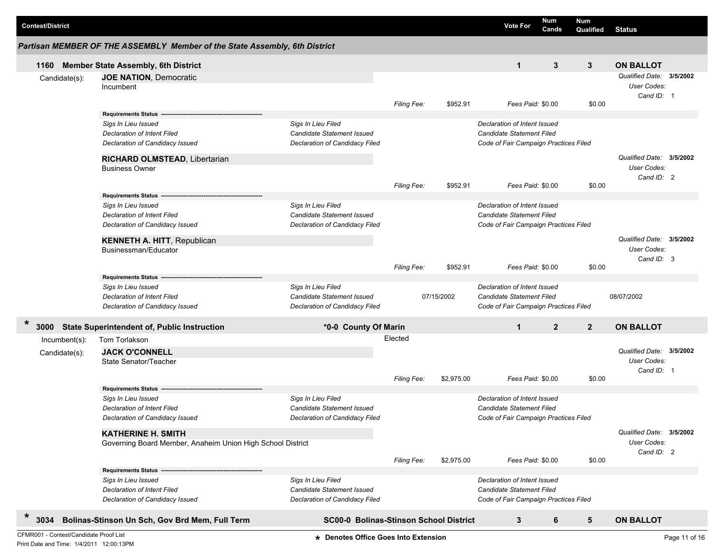| <b>Contest/District</b>                |                                                            |                                                                            |                                                  |                    |            | <b>Vote For</b>                       | Num<br>Cands   | Num<br>Qualified | <b>Status</b>                           |               |
|----------------------------------------|------------------------------------------------------------|----------------------------------------------------------------------------|--------------------------------------------------|--------------------|------------|---------------------------------------|----------------|------------------|-----------------------------------------|---------------|
|                                        |                                                            | Partisan MEMBER OF THE ASSEMBLY Member of the State Assembly, 6th District |                                                  |                    |            |                                       |                |                  |                                         |               |
| 1160                                   |                                                            | <b>Member State Assembly, 6th District</b>                                 |                                                  |                    |            | $\mathbf{1}$                          | 3              | 3                | <b>ON BALLOT</b>                        |               |
| Candidate(s):                          |                                                            | <b>JOE NATION, Democratic</b>                                              |                                                  |                    |            |                                       |                |                  | Qualified Date: 3/5/2002                |               |
|                                        |                                                            | Incumbent                                                                  |                                                  |                    |            |                                       |                |                  | User Codes:                             |               |
|                                        |                                                            |                                                                            |                                                  | Filing Fee:        | \$952.91   | Fees Paid: \$0.00                     |                | \$0.00           | Cand ID: 1                              |               |
|                                        |                                                            | <b>Requirements Status -</b>                                               |                                                  |                    |            |                                       |                |                  |                                         |               |
|                                        |                                                            | Sigs In Lieu Issued                                                        | Sigs In Lieu Filed                               |                    |            | Declaration of Intent Issued          |                |                  |                                         |               |
|                                        |                                                            | Declaration of Intent Filed                                                | Candidate Statement Issued                       |                    |            | Candidate Statement Filed             |                |                  |                                         |               |
|                                        |                                                            | Declaration of Candidacy Issued                                            | Declaration of Candidacy Filed                   |                    |            | Code of Fair Campaign Practices Filed |                |                  |                                         |               |
|                                        |                                                            | RICHARD OLMSTEAD, Libertarian                                              |                                                  |                    |            |                                       |                |                  | Qualified Date: 3/5/2002                |               |
|                                        |                                                            | <b>Business Owner</b>                                                      |                                                  |                    |            |                                       |                |                  | User Codes:                             |               |
|                                        |                                                            |                                                                            |                                                  |                    |            |                                       |                |                  | Cand ID: 2                              |               |
|                                        |                                                            |                                                                            |                                                  | Filing Fee:        | \$952.91   | Fees Paid: \$0.00                     |                | \$0.00           |                                         |               |
|                                        |                                                            | Requirements Status ---<br>Sigs In Lieu Issued                             | Sigs In Lieu Filed                               |                    |            | Declaration of Intent Issued          |                |                  |                                         |               |
|                                        |                                                            | Declaration of Intent Filed                                                | Candidate Statement Issued                       |                    |            | Candidate Statement Filed             |                |                  |                                         |               |
|                                        |                                                            | Declaration of Candidacy Issued                                            | <b>Declaration of Candidacy Filed</b>            |                    |            | Code of Fair Campaign Practices Filed |                |                  |                                         |               |
|                                        |                                                            |                                                                            |                                                  |                    |            |                                       |                |                  |                                         |               |
|                                        |                                                            | <b>KENNETH A. HITT, Republican</b>                                         |                                                  |                    |            |                                       |                |                  | Qualified Date: 3/5/2002                |               |
|                                        |                                                            | Businessman/Educator                                                       |                                                  |                    |            |                                       |                |                  | User Codes:<br>Cand ID: 3               |               |
|                                        |                                                            |                                                                            |                                                  | Filing Fee:        | \$952.91   | Fees Paid: \$0.00                     |                | \$0.00           |                                         |               |
|                                        |                                                            | <b>Requirements Status</b>                                                 |                                                  |                    |            |                                       |                |                  |                                         |               |
|                                        |                                                            | Sigs In Lieu Issued                                                        | Sigs In Lieu Filed                               |                    |            | Declaration of Intent Issued          |                |                  |                                         |               |
|                                        |                                                            | Declaration of Intent Filed                                                | Candidate Statement Issued                       |                    | 07/15/2002 | Candidate Statement Filed             |                |                  | 08/07/2002                              |               |
|                                        |                                                            | Declaration of Candidacy Issued                                            | Declaration of Candidacy Filed                   |                    |            | Code of Fair Campaign Practices Filed |                |                  |                                         |               |
| $\ast$<br>3000                         |                                                            | <b>State Superintendent of, Public Instruction</b>                         | *0-0 County Of Marin                             |                    |            | $\mathbf{1}$                          | $\overline{2}$ | $\overline{2}$   | <b>ON BALLOT</b>                        |               |
| Incumbent(s):                          |                                                            | Tom Torlakson                                                              |                                                  | Elected            |            |                                       |                |                  |                                         |               |
| Candidate(s):                          |                                                            | <b>JACK O'CONNELL</b>                                                      |                                                  |                    |            |                                       |                |                  | Qualified Date: 3/5/2002                |               |
|                                        |                                                            | State Senator/Teacher                                                      |                                                  |                    |            |                                       |                |                  | User Codes:                             |               |
|                                        |                                                            |                                                                            |                                                  |                    |            |                                       |                |                  | Cand ID: 1                              |               |
|                                        |                                                            |                                                                            |                                                  | <b>Filing Fee:</b> | \$2,975.00 | Fees Paid: \$0.00                     |                | \$0.00           |                                         |               |
|                                        |                                                            | <b>Requirements Status</b>                                                 |                                                  |                    |            | Declaration of Intent Issued          |                |                  |                                         |               |
|                                        |                                                            | Sigs In Lieu Issued<br>Declaration of Intent Filed                         | Sigs In Lieu Filed<br>Candidate Statement Issued |                    |            | Candidate Statement Filed             |                |                  |                                         |               |
|                                        |                                                            | Declaration of Candidacy Issued                                            | <b>Declaration of Candidacy Filed</b>            |                    |            | Code of Fair Campaign Practices Filed |                |                  |                                         |               |
|                                        |                                                            |                                                                            |                                                  |                    |            |                                       |                |                  |                                         |               |
|                                        |                                                            | <b>KATHERINE H. SMITH</b>                                                  |                                                  |                    |            |                                       |                |                  | Qualified Date: 3/5/2002<br>User Codes: |               |
|                                        | Governing Board Member, Anaheim Union High School District |                                                                            |                                                  |                    |            |                                       |                |                  | Cand ID: 2                              |               |
|                                        |                                                            |                                                                            |                                                  | <b>Filing Fee:</b> | \$2,975.00 | Fees Paid: \$0.00                     |                | \$0.00           |                                         |               |
|                                        |                                                            | <b>Requirements Status -</b>                                               |                                                  |                    |            |                                       |                |                  |                                         |               |
|                                        |                                                            | Sigs In Lieu Issued                                                        | Sigs In Lieu Filed                               |                    |            | Declaration of Intent Issued          |                |                  |                                         |               |
|                                        |                                                            | <b>Declaration of Intent Filed</b>                                         | Candidate Statement Issued                       |                    |            | Candidate Statement Filed             |                |                  |                                         |               |
|                                        |                                                            | Declaration of Candidacy Issued                                            | Declaration of Candidacy Filed                   |                    |            | Code of Fair Campaign Practices Filed |                |                  |                                         |               |
| *<br>3034                              |                                                            | Bolinas-Stinson Un Sch, Gov Brd Mem, Full Term                             | <b>SC00-0 Bolinas-Stinson School District</b>    |                    |            | 3                                     | 6              | 5                | <b>ON BALLOT</b>                        |               |
| CFMR001 - Contest/Candidate Proof List |                                                            |                                                                            | * Denotes Office Goes Into Extension             |                    |            |                                       |                |                  |                                         | Page 11 of 16 |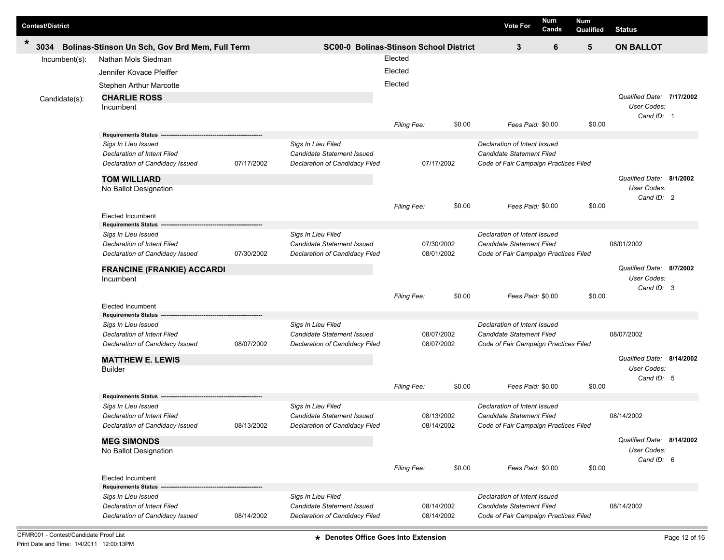| <b>Contest/District</b> |                                                                                                                                                 |            |                                                                                           |                               |                          | <b>Vote For</b>                                                                                           | <b>Num</b><br>Cands | <b>Num</b><br>Qualified | <b>Status</b>                                          |  |
|-------------------------|-------------------------------------------------------------------------------------------------------------------------------------------------|------------|-------------------------------------------------------------------------------------------|-------------------------------|--------------------------|-----------------------------------------------------------------------------------------------------------|---------------------|-------------------------|--------------------------------------------------------|--|
| *<br>3034               | Bolinas-Stinson Un Sch, Gov Brd Mem, Full Term                                                                                                  |            | <b>SC00-0 Bolinas-Stinson School District</b>                                             |                               |                          | 3                                                                                                         | 6                   | 5                       | <b>ON BALLOT</b>                                       |  |
| Incumbent(s):           | Nathan Mols Siedman<br>Jennifer Kovace Pfeiffer<br><b>Stephen Arthur Marcotte</b>                                                               |            |                                                                                           | Elected<br>Elected<br>Elected |                          |                                                                                                           |                     |                         |                                                        |  |
| Candidate(s):           | <b>CHARLIE ROSS</b><br>Incumbent                                                                                                                |            |                                                                                           | Filing Fee:                   | \$0.00                   | Fees Paid: \$0.00                                                                                         |                     | \$0.00                  | Qualified Date: 7/17/2002<br>User Codes:<br>Cand ID: 1 |  |
|                         | <b>Requirements Status</b><br>Sigs In Lieu Issued<br>Declaration of Intent Filed<br>Declaration of Candidacy Issued                             | 07/17/2002 | Sigs In Lieu Filed<br>Candidate Statement Issued<br>Declaration of Candidacy Filed        |                               | 07/17/2002               | Declaration of Intent Issued<br><b>Candidate Statement Filed</b><br>Code of Fair Campaign Practices Filed |                     |                         | Qualified Date: 8/1/2002                               |  |
|                         | <b>TOM WILLIARD</b><br>No Ballot Designation<br><b>Elected Incumbent</b>                                                                        |            |                                                                                           | <b>Filing Fee:</b>            | \$0.00                   | Fees Paid: \$0.00                                                                                         |                     | \$0.00                  | User Codes:<br>Cand ID: 2                              |  |
|                         | <b>Requirements Status</b><br>Sigs In Lieu Issued<br><b>Declaration of Intent Filed</b><br>Declaration of Candidacy Issued                      | 07/30/2002 | Sigs In Lieu Filed<br>Candidate Statement Issued<br>Declaration of Candidacy Filed        |                               | 07/30/2002<br>08/01/2002 | Declaration of Intent Issued<br><b>Candidate Statement Filed</b><br>Code of Fair Campaign Practices Filed |                     |                         | 08/01/2002                                             |  |
|                         | <b>FRANCINE (FRANKIE) ACCARDI</b><br>Incumbent<br><b>Elected Incumbent</b>                                                                      |            |                                                                                           | Filing Fee:                   | \$0.00                   | Fees Paid: \$0.00                                                                                         |                     | \$0.00                  | Qualified Date: 8/7/2002<br>User Codes:<br>Cand ID: 3  |  |
|                         | <b>Requirements Status</b><br>Sigs In Lieu Issued<br>Declaration of Intent Filed<br>Declaration of Candidacy Issued                             | 08/07/2002 | Sigs In Lieu Filed<br><b>Candidate Statement Issued</b><br>Declaration of Candidacy Filed |                               | 08/07/2002<br>08/07/2002 | Declaration of Intent Issued<br>Candidate Statement Filed<br>Code of Fair Campaign Practices Filed        |                     |                         | 08/07/2002                                             |  |
|                         | <b>MATTHEW E. LEWIS</b><br><b>Builder</b>                                                                                                       |            |                                                                                           | Filing Fee:                   | \$0.00                   | Fees Paid: \$0.00                                                                                         |                     | \$0.00                  | Qualified Date: 8/14/2002<br>User Codes:<br>Cand ID: 5 |  |
|                         | <b>Requirements Status</b><br>Sigs In Lieu Issued<br><b>Declaration of Intent Filed</b><br>Declaration of Candidacy Issued                      | 08/13/2002 | Sigs In Lieu Filed<br>Candidate Statement Issued<br>Declaration of Candidacy Filed        |                               | 08/13/2002<br>08/14/2002 | Declaration of Intent Issued<br><b>Candidate Statement Filed</b><br>Code of Fair Campaign Practices Filed |                     |                         | 08/14/2002                                             |  |
|                         | <b>MEG SIMONDS</b><br>No Ballot Designation                                                                                                     |            |                                                                                           | Filing Fee:                   | \$0.00                   | Fees Paid: \$0.00                                                                                         |                     | \$0.00                  | Qualified Date: 8/14/2002<br>User Codes:<br>Cand ID: 6 |  |
|                         | <b>Elected Incumbent</b><br><b>Requirements Status</b><br>Sigs In Lieu Issued<br>Declaration of Intent Filed<br>Declaration of Candidacy Issued | 08/14/2002 | Sigs In Lieu Filed<br>Candidate Statement Issued<br>Declaration of Candidacy Filed        |                               | 08/14/2002<br>08/14/2002 | Declaration of Intent Issued<br>Candidate Statement Filed<br>Code of Fair Campaign Practices Filed        |                     |                         | 08/14/2002                                             |  |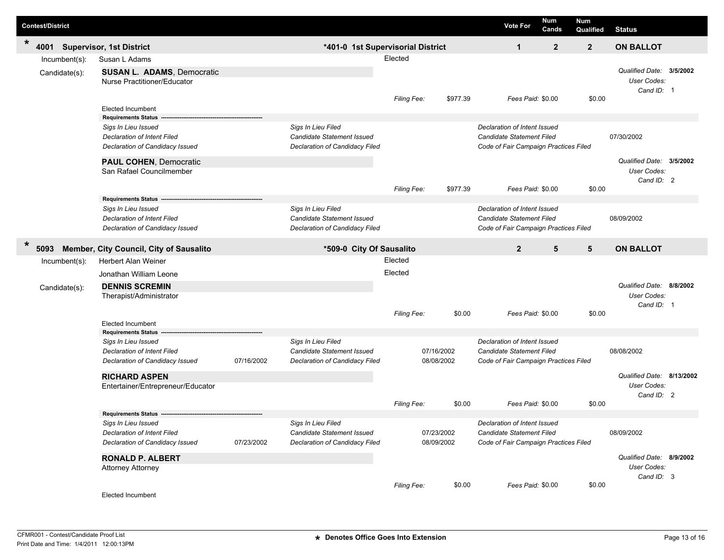| <b>Contest/District</b> |                                 |  |                                                                  |            |                                                         |                    |            |              | <b>Vote For</b>                                                                                           | Num<br>Cands | Num<br>Qualified | <b>Status</b>                                         |  |
|-------------------------|---------------------------------|--|------------------------------------------------------------------|------------|---------------------------------------------------------|--------------------|------------|--------------|-----------------------------------------------------------------------------------------------------------|--------------|------------------|-------------------------------------------------------|--|
| $\ast$<br>4001          | <b>Supervisor, 1st District</b> |  |                                                                  |            | *401-0 1st Supervisorial District                       |                    |            | $\mathbf{1}$ | $\mathbf{2}$                                                                                              | $\mathbf{2}$ | <b>ON BALLOT</b> |                                                       |  |
|                         | Incumbent(s):                   |  | Susan L Adams                                                    |            | Elected                                                 |                    |            |              |                                                                                                           |              |                  |                                                       |  |
|                         | Candidate(s):                   |  | <b>SUSAN L. ADAMS, Democratic</b><br>Nurse Practitioner/Educator |            |                                                         |                    |            |              |                                                                                                           |              |                  | Qualified Date: 3/5/2002<br>User Codes:<br>Cand ID: 1 |  |
|                         |                                 |  | Elected Incumbent                                                |            |                                                         | <b>Filing Fee:</b> |            | \$977.39     | Fees Paid: \$0.00                                                                                         |              | \$0.00           |                                                       |  |
|                         |                                 |  | <b>Requirements Status</b>                                       |            |                                                         |                    |            |              |                                                                                                           |              |                  |                                                       |  |
|                         |                                 |  | Sigs In Lieu Issued                                              |            | Sigs In Lieu Filed                                      |                    |            |              | Declaration of Intent Issued                                                                              |              |                  |                                                       |  |
|                         |                                 |  | <b>Declaration of Intent Filed</b>                               |            | Candidate Statement Issued                              |                    |            |              | <b>Candidate Statement Filed</b>                                                                          |              |                  | 07/30/2002                                            |  |
|                         |                                 |  | Declaration of Candidacy Issued                                  |            | Declaration of Candidacy Filed                          |                    |            |              | Code of Fair Campaign Practices Filed                                                                     |              |                  |                                                       |  |
|                         |                                 |  | <b>PAUL COHEN, Democratic</b>                                    |            |                                                         |                    |            |              |                                                                                                           |              |                  | Qualified Date: 3/5/2002                              |  |
|                         |                                 |  | San Rafael Councilmember                                         |            |                                                         |                    |            |              |                                                                                                           |              |                  | User Codes:                                           |  |
|                         |                                 |  |                                                                  |            |                                                         | Filing Fee:        |            | \$977.39     | Fees Paid: \$0.00                                                                                         |              | \$0.00           | Cand ID: 2                                            |  |
|                         |                                 |  | <b>Requirements Status</b>                                       |            |                                                         |                    |            |              |                                                                                                           |              |                  |                                                       |  |
|                         |                                 |  | Sigs In Lieu Issued                                              |            | Sigs In Lieu Filed                                      |                    |            |              | Declaration of Intent Issued                                                                              |              |                  |                                                       |  |
|                         |                                 |  | Declaration of Intent Filed                                      |            | Candidate Statement Issued                              |                    |            |              | Candidate Statement Filed                                                                                 |              |                  | 08/09/2002                                            |  |
|                         |                                 |  | Declaration of Candidacy Issued                                  |            | Declaration of Candidacy Filed                          |                    |            |              | Code of Fair Campaign Practices Filed                                                                     |              |                  |                                                       |  |
| $\ast$<br>5093          |                                 |  | Member, City Council, City of Sausalito                          |            | *509-0 City Of Sausalito                                |                    |            |              | $\overline{2}$                                                                                            | 5            | 5                | <b>ON BALLOT</b>                                      |  |
|                         | Incumbent(s):                   |  | Herbert Alan Weiner                                              |            |                                                         | Elected            |            |              |                                                                                                           |              |                  |                                                       |  |
|                         | Candidate(s):                   |  | Jonathan William Leone                                           |            |                                                         | Elected            |            |              |                                                                                                           |              |                  |                                                       |  |
|                         |                                 |  | <b>DENNIS SCREMIN</b><br>Therapist/Administrator                 |            |                                                         |                    |            |              |                                                                                                           |              |                  | Qualified Date: 8/8/2002<br>User Codes:<br>Cand ID: 1 |  |
|                         |                                 |  |                                                                  |            |                                                         | <b>Filing Fee:</b> |            | \$0.00       | Fees Paid: \$0.00                                                                                         |              | \$0.00           |                                                       |  |
|                         |                                 |  | <b>Elected Incumbent</b>                                         |            |                                                         |                    |            |              |                                                                                                           |              |                  |                                                       |  |
|                         |                                 |  | <b>Requirements Status</b>                                       |            |                                                         |                    |            |              |                                                                                                           |              |                  |                                                       |  |
|                         |                                 |  | Sigs In Lieu Issued<br><b>Declaration of Intent Filed</b>        |            | Sigs In Lieu Filed<br><b>Candidate Statement Issued</b> |                    | 07/16/2002 |              | Declaration of Intent Issued<br><b>Candidate Statement Filed</b><br>Code of Fair Campaign Practices Filed |              |                  | 08/08/2002                                            |  |
|                         |                                 |  | Declaration of Candidacy Issued                                  | 07/16/2002 | Declaration of Candidacy Filed                          |                    | 08/08/2002 |              |                                                                                                           |              |                  |                                                       |  |
|                         |                                 |  |                                                                  |            |                                                         |                    |            |              |                                                                                                           |              |                  | Qualified Date: 8/13/2002                             |  |
|                         |                                 |  | <b>RICHARD ASPEN</b><br>Entertainer/Entrepreneur/Educator        |            |                                                         |                    |            |              |                                                                                                           |              |                  | User Codes:                                           |  |
|                         |                                 |  |                                                                  |            |                                                         |                    |            |              |                                                                                                           |              |                  | Cand ID: 2                                            |  |
|                         |                                 |  |                                                                  |            |                                                         | <b>Filing Fee:</b> |            | \$0.00       | Fees Paid: \$0.00                                                                                         |              | \$0.00           |                                                       |  |
|                         |                                 |  | <b>Requirements Status</b>                                       |            |                                                         |                    |            |              |                                                                                                           |              |                  |                                                       |  |
|                         |                                 |  | Sigs In Lieu Issued<br><b>Declaration of Intent Filed</b>        |            | Sigs In Lieu Filed<br>Candidate Statement Issued        |                    | 07/23/2002 |              | Declaration of Intent Issued<br><b>Candidate Statement Filed</b>                                          |              |                  | 08/09/2002                                            |  |
|                         |                                 |  | Declaration of Candidacy Issued                                  | 07/23/2002 | Declaration of Candidacy Filed                          |                    | 08/09/2002 |              | Code of Fair Campaign Practices Filed                                                                     |              |                  |                                                       |  |
|                         |                                 |  |                                                                  |            |                                                         |                    |            |              |                                                                                                           |              |                  |                                                       |  |
|                         |                                 |  | <b>RONALD P. ALBERT</b><br><b>Attorney Attorney</b>              |            |                                                         |                    |            |              |                                                                                                           |              |                  | Qualified Date: 8/9/2002<br>User Codes:<br>Cand ID: 3 |  |
|                         |                                 |  | Elected Incumbent                                                |            |                                                         | Filing Fee:        |            | \$0.00       | Fees Paid: \$0.00                                                                                         |              | \$0.00           |                                                       |  |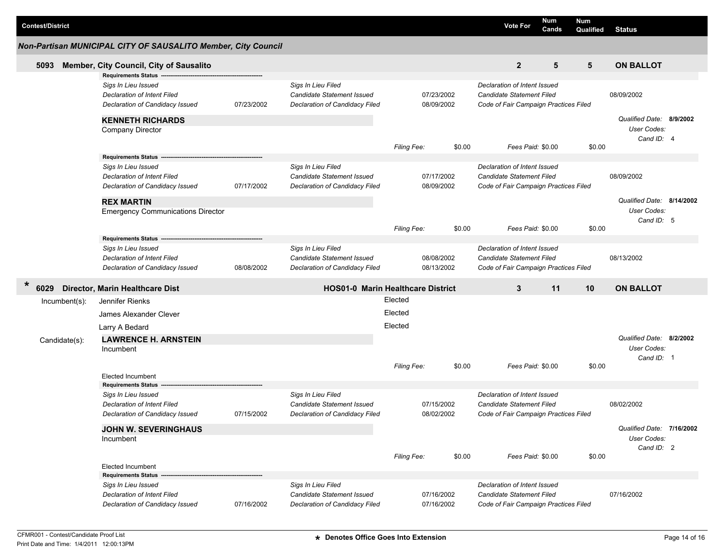| <b>Contest/District</b> |                                                                                                                     |            |                                                                                           |                                          |                          |                                                                                                    | <b>Vote For</b>                                                                                    | Num<br>Cands | <b>Num</b><br>Qualified | <b>Status</b>                                          |  |
|-------------------------|---------------------------------------------------------------------------------------------------------------------|------------|-------------------------------------------------------------------------------------------|------------------------------------------|--------------------------|----------------------------------------------------------------------------------------------------|----------------------------------------------------------------------------------------------------|--------------|-------------------------|--------------------------------------------------------|--|
|                         | Non-Partisan MUNICIPAL CITY OF SAUSALITO Member, City Council                                                       |            |                                                                                           |                                          |                          |                                                                                                    |                                                                                                    |              |                         |                                                        |  |
| 5093                    | Member, City Council, City of Sausalito                                                                             |            |                                                                                           |                                          |                          |                                                                                                    | $\mathbf{2}$                                                                                       | 5            | 5                       | <b>ON BALLOT</b>                                       |  |
|                         | <b>Requirements Status</b><br>Sigs In Lieu Issued<br>Declaration of Intent Filed<br>Declaration of Candidacy Issued | 07/23/2002 | Sigs In Lieu Filed<br>Candidate Statement Issued<br>Declaration of Candidacy Filed        |                                          | 07/23/2002<br>08/09/2002 |                                                                                                    | Declaration of Intent Issued<br>Candidate Statement Filed<br>Code of Fair Campaign Practices Filed |              |                         | 08/09/2002                                             |  |
|                         | <b>KENNETH RICHARDS</b><br><b>Company Director</b>                                                                  |            |                                                                                           |                                          |                          | \$0.00                                                                                             | Fees Paid: \$0.00                                                                                  |              | \$0.00                  | Qualified Date: 8/9/2002<br>User Codes:<br>Cand ID: 4  |  |
|                         | <b>Requirements Status</b>                                                                                          |            |                                                                                           | Filing Fee:                              |                          |                                                                                                    |                                                                                                    |              |                         |                                                        |  |
|                         | Sigs In Lieu Issued<br>Declaration of Intent Filed<br>Declaration of Candidacy Issued                               | 07/17/2002 | Sigs In Lieu Filed<br><b>Candidate Statement Issued</b><br>Declaration of Candidacy Filed | 07/17/2002<br>08/09/2002                 |                          | Declaration of Intent Issued<br>Candidate Statement Filed<br>Code of Fair Campaign Practices Filed |                                                                                                    |              | 08/09/2002              |                                                        |  |
|                         | <b>REX MARTIN</b><br><b>Emergency Communications Director</b>                                                       |            |                                                                                           |                                          |                          |                                                                                                    |                                                                                                    |              |                         | Qualified Date: 8/14/2002<br>User Codes:<br>Cand ID: 5 |  |
|                         | <b>Requirements Status</b>                                                                                          |            |                                                                                           | Filing Fee:                              |                          | \$0.00                                                                                             | Fees Paid: \$0.00                                                                                  |              | \$0.00                  |                                                        |  |
|                         | Sigs In Lieu Issued<br>Declaration of Intent Filed<br>Declaration of Candidacy Issued                               | 08/08/2002 | Sigs In Lieu Filed<br><b>Candidate Statement Issued</b><br>Declaration of Candidacy Filed |                                          | 08/08/2002<br>08/13/2002 |                                                                                                    | Declaration of Intent Issued<br>Candidate Statement Filed<br>Code of Fair Campaign Practices Filed |              |                         | 08/13/2002                                             |  |
| $\ast$<br>6029          | Director, Marin Healthcare Dist                                                                                     |            |                                                                                           | <b>HOS01-0 Marin Healthcare District</b> |                          |                                                                                                    | 11<br>3                                                                                            |              | 10                      | <b>ON BALLOT</b>                                       |  |
| $Incumbent(s)$ :        | Jennifer Rienks                                                                                                     |            |                                                                                           | Elected                                  |                          |                                                                                                    |                                                                                                    |              |                         |                                                        |  |
|                         | James Alexander Clever                                                                                              |            |                                                                                           | Elected                                  |                          |                                                                                                    |                                                                                                    |              |                         |                                                        |  |
|                         | Larry A Bedard                                                                                                      |            |                                                                                           | Elected                                  |                          |                                                                                                    |                                                                                                    |              |                         |                                                        |  |
| Candidate(s):           | <b>LAWRENCE H. ARNSTEIN</b>                                                                                         |            |                                                                                           |                                          |                          |                                                                                                    |                                                                                                    |              |                         | Qualified Date: 8/2/2002                               |  |
|                         | Incumbent                                                                                                           |            |                                                                                           |                                          |                          |                                                                                                    |                                                                                                    |              |                         | User Codes:                                            |  |
|                         |                                                                                                                     |            |                                                                                           | Filing Fee:                              |                          | \$0.00                                                                                             | Fees Paid: \$0.00                                                                                  |              | \$0.00                  | Cand ID: 1                                             |  |
|                         | <b>Elected Incumbent</b><br><b>Requirements Status</b>                                                              |            |                                                                                           |                                          |                          |                                                                                                    |                                                                                                    |              |                         |                                                        |  |
|                         | Sigs In Lieu Issued<br>Declaration of Intent Filed<br>Declaration of Candidacy Issued                               | 07/15/2002 | Sigs In Lieu Filed<br><b>Candidate Statement Issued</b><br>Declaration of Candidacy Filed |                                          | 07/15/2002<br>08/02/2002 |                                                                                                    | Declaration of Intent Issued<br>Candidate Statement Filed<br>Code of Fair Campaign Practices Filed |              |                         | 08/02/2002                                             |  |
|                         | <b>JOHN W. SEVERINGHAUS</b><br>Incumbent                                                                            |            |                                                                                           |                                          |                          |                                                                                                    |                                                                                                    |              |                         | Qualified Date: 7/16/2002<br>User Codes:<br>Cand ID: 2 |  |
|                         | <b>Elected Incumbent</b>                                                                                            |            |                                                                                           | Filing Fee:                              |                          | \$0.00                                                                                             | Fees Paid: \$0.00                                                                                  |              | \$0.00                  |                                                        |  |
|                         | <b>Requirements Status</b>                                                                                          |            |                                                                                           |                                          |                          |                                                                                                    |                                                                                                    |              |                         |                                                        |  |
|                         | Sigs In Lieu Issued<br>Declaration of Intent Filed<br>Declaration of Candidacy Issued                               | 07/16/2002 | Sigs In Lieu Filed<br><b>Candidate Statement Issued</b><br>Declaration of Candidacy Filed |                                          | 07/16/2002<br>07/16/2002 |                                                                                                    | Declaration of Intent Issued<br>Candidate Statement Filed<br>Code of Fair Campaign Practices Filed |              |                         | 07/16/2002                                             |  |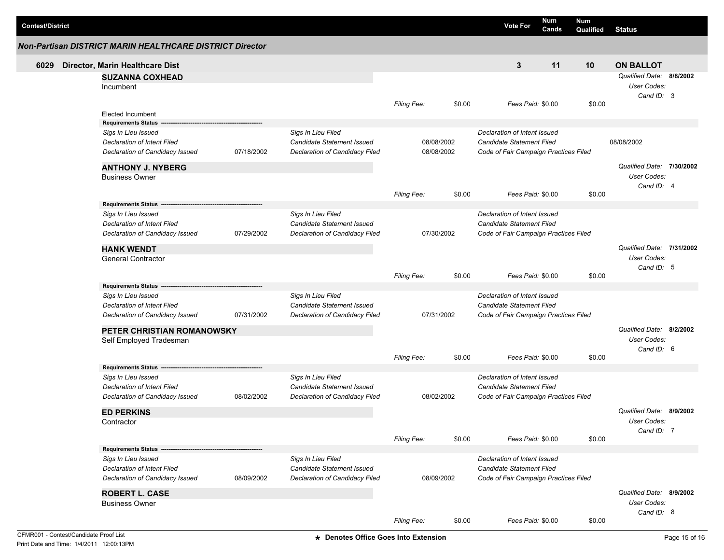| <b>Contest/District</b> |                                                                |            |                                                                     |                          |        | <b>Vote For</b>                                                    | Num<br>Cands                          | Num<br>Qualified | <b>Status</b>                                         |  |
|-------------------------|----------------------------------------------------------------|------------|---------------------------------------------------------------------|--------------------------|--------|--------------------------------------------------------------------|---------------------------------------|------------------|-------------------------------------------------------|--|
|                         | Non-Partisan DISTRICT MARIN HEALTHCARE DISTRICT Director       |            |                                                                     |                          |        |                                                                    |                                       |                  |                                                       |  |
| 6029                    | Director, Marin Healthcare Dist                                |            |                                                                     |                          |        | 3                                                                  | 11                                    | 10               | <b>ON BALLOT</b>                                      |  |
|                         | <b>SUZANNA COXHEAD</b><br>Incumbent                            |            |                                                                     |                          |        |                                                                    |                                       |                  | Qualified Date: 8/8/2002<br>User Codes:<br>Cand ID: 3 |  |
|                         | <b>Elected Incumbent</b>                                       |            |                                                                     | <b>Filing Fee:</b>       | \$0.00 | Fees Paid: \$0.00                                                  |                                       | \$0.00           |                                                       |  |
|                         | <b>Requirements Status</b>                                     |            |                                                                     |                          |        |                                                                    |                                       |                  |                                                       |  |
|                         | Sigs In Lieu Issued                                            |            | Sigs In Lieu Filed                                                  |                          |        | Declaration of Intent Issued                                       |                                       |                  |                                                       |  |
|                         | Declaration of Intent Filed<br>Declaration of Candidacy Issued | 07/18/2002 | <b>Candidate Statement Issued</b><br>Declaration of Candidacy Filed | 08/08/2002<br>08/08/2002 |        | Candidate Statement Filed<br>Code of Fair Campaign Practices Filed |                                       |                  | 08/08/2002                                            |  |
|                         | <b>ANTHONY J. NYBERG</b><br><b>Business Owner</b>              |            |                                                                     |                          |        |                                                                    |                                       |                  | Qualified Date: 7/30/2002<br>User Codes:              |  |
|                         |                                                                |            |                                                                     | <b>Filing Fee:</b>       | \$0.00 | Fees Paid: \$0.00                                                  |                                       | \$0.00           | Cand ID: 4                                            |  |
|                         | Requirements Status --                                         |            | Sigs In Lieu Filed                                                  |                          |        | Declaration of Intent Issued                                       |                                       |                  |                                                       |  |
|                         | Sigs In Lieu Issued<br><b>Declaration of Intent Filed</b>      |            | <b>Candidate Statement Issued</b>                                   |                          |        | Candidate Statement Filed                                          |                                       |                  |                                                       |  |
|                         | Declaration of Candidacy Issued                                | 07/29/2002 | Declaration of Candidacy Filed                                      | 07/30/2002               |        | Code of Fair Campaign Practices Filed                              |                                       |                  |                                                       |  |
|                         | <b>HANK WENDT</b>                                              |            |                                                                     |                          |        |                                                                    |                                       |                  | Qualified Date: 7/31/2002                             |  |
|                         | <b>General Contractor</b>                                      |            |                                                                     |                          |        |                                                                    |                                       |                  | User Codes:<br>Cand ID: 5                             |  |
|                         |                                                                |            |                                                                     | Filing Fee:              | \$0.00 | Fees Paid: \$0.00                                                  |                                       | \$0.00           |                                                       |  |
|                         | <b>Requirements Status</b>                                     |            |                                                                     |                          |        |                                                                    |                                       |                  |                                                       |  |
|                         | Sigs In Lieu Issued                                            |            | Sigs In Lieu Filed                                                  |                          |        | Declaration of Intent Issued                                       |                                       |                  |                                                       |  |
|                         | Declaration of Intent Filed                                    |            | <b>Candidate Statement Issued</b>                                   |                          |        | Candidate Statement Filed                                          |                                       |                  |                                                       |  |
|                         | Declaration of Candidacy Issued                                | 07/31/2002 | Declaration of Candidacy Filed                                      | 07/31/2002               |        | Code of Fair Campaign Practices Filed                              |                                       |                  |                                                       |  |
|                         | PETER CHRISTIAN ROMANOWSKY                                     |            |                                                                     |                          |        |                                                                    | Qualified Date: 8/2/2002              |                  |                                                       |  |
|                         | Self Employed Tradesman                                        |            |                                                                     |                          |        |                                                                    |                                       |                  | User Codes:                                           |  |
|                         |                                                                |            |                                                                     | <b>Filing Fee:</b>       | \$0.00 | Fees Paid: \$0.00                                                  |                                       | \$0.00           | Cand ID: 6                                            |  |
|                         | Requirements Status --<br>Sigs In Lieu Issued                  |            | Sigs In Lieu Filed                                                  |                          |        | Declaration of Intent Issued                                       |                                       |                  |                                                       |  |
|                         | Declaration of Intent Filed                                    |            | <b>Candidate Statement Issued</b>                                   |                          |        | Candidate Statement Filed                                          |                                       |                  |                                                       |  |
|                         | Declaration of Candidacy Issued                                | 08/02/2002 | Declaration of Candidacy Filed                                      | 08/02/2002               |        |                                                                    | Code of Fair Campaign Practices Filed |                  |                                                       |  |
|                         | <b>ED PERKINS</b>                                              |            |                                                                     |                          |        |                                                                    |                                       |                  | Qualified Date: 8/9/2002                              |  |
|                         | Contractor                                                     |            |                                                                     |                          |        |                                                                    |                                       |                  | User Codes:                                           |  |
|                         |                                                                |            |                                                                     | Filing Fee:              | \$0.00 | Fees Paid: \$0.00                                                  |                                       | \$0.00           | Cand ID: 7                                            |  |
|                         | Requirements Status ---                                        |            |                                                                     |                          |        |                                                                    |                                       |                  |                                                       |  |
|                         | Sigs In Lieu Issued                                            |            | Sigs In Lieu Filed                                                  |                          |        | Declaration of Intent Issued                                       |                                       |                  |                                                       |  |
|                         | Declaration of Intent Filed                                    |            | <b>Candidate Statement Issued</b>                                   |                          |        | Candidate Statement Filed                                          |                                       |                  |                                                       |  |
|                         | Declaration of Candidacy Issued                                | 08/09/2002 | Declaration of Candidacy Filed                                      | 08/09/2002               |        | Code of Fair Campaign Practices Filed                              |                                       |                  |                                                       |  |
|                         | <b>ROBERT L. CASE</b>                                          |            |                                                                     |                          |        |                                                                    |                                       |                  | Qualified Date: 8/9/2002                              |  |
|                         | <b>Business Owner</b>                                          |            |                                                                     |                          |        |                                                                    |                                       |                  | User Codes:<br>Cand ID: 8                             |  |
|                         |                                                                |            |                                                                     | Filing Fee:              | \$0.00 | Fees Paid: \$0.00                                                  |                                       | \$0.00           |                                                       |  |